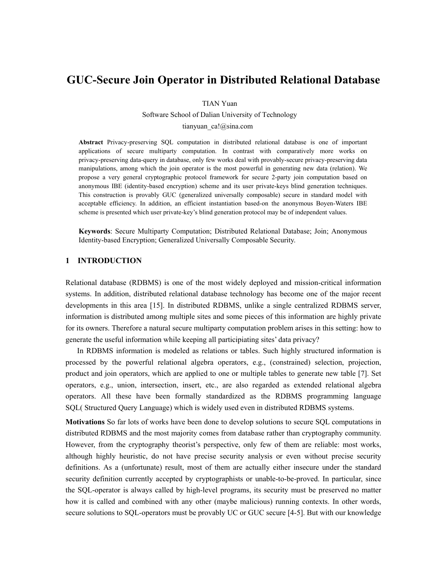# **GUC-Secure Join Operator in Distributed Relational Database**

TIAN Yuan

 Software School of Dalian University of Technology tianyuan\_ca!@sina.com

**Abstract** Privacy-preserving SQL computation in distributed relational database is one of important applications of secure multiparty computation. In contrast with comparatively more works on privacy-preserving data-query in database, only few works deal with provably-secure privacy-preserving data manipulations, among which the join operator is the most powerful in generating new data (relation). We propose a very general cryptographic protocol framework for secure 2-party join computation based on anonymous IBE (identity-based encryption) scheme and its user private-keys blind generation techniques. This construction is provably GUC (generalized universally composable) secure in standard model with acceptable efficiency. In addition, an efficient instantiation based-on the anonymous Boyen-Waters IBE scheme is presented which user private-key's blind generation protocol may be of independent values.

**Keywords**: Secure Multiparty Computation; Distributed Relational Database; Join; Anonymous Identity-based Encryption; Generalized Universally Composable Security.

# **1 INTRODUCTION**

Relational database (RDBMS) is one of the most widely deployed and mission-critical information systems. In addition, distributed relational database technology has become one of the major recent developments in this area [15]. In distributed RDBMS, unlike a single centralized RDBMS server, information is distributed among multiple sites and some pieces of this information are highly private for its owners. Therefore a natural secure multiparty computation problem arises in this setting: how to generate the useful information while keeping all participiating sites' data privacy?

In RDBMS information is modeled as relations or tables. Such highly structured information is processed by the powerful relational algebra operators, e.g., (constrained) selection, projection, product and join operators, which are applied to one or multiple tables to generate new table [7]. Set operators, e.g., union, intersection, insert, etc., are also regarded as extended relational algebra operators. All these have been formally standardized as the RDBMS programming language SQL( Structured Query Language) which is widely used even in distributed RDBMS systems.

**Motivations** So far lots of works have been done to develop solutions to secure SQL computations in distributed RDBMS and the most majority comes from database rather than cryptography community. However, from the cryptography theorist's perspective, only few of them are reliable: most works, although highly heuristic, do not have precise security analysis or even without precise security definitions. As a (unfortunate) result, most of them are actually either insecure under the standard security definition currently accepted by cryptographists or unable-to-be-proved. In particular, since the SQL-operator is always called by high-level programs, its security must be preserved no matter how it is called and combined with any other (maybe malicious) running contexts. In other words, secure solutions to SQL-operators must be provably UC or GUC secure [4-5]. But with our knowledge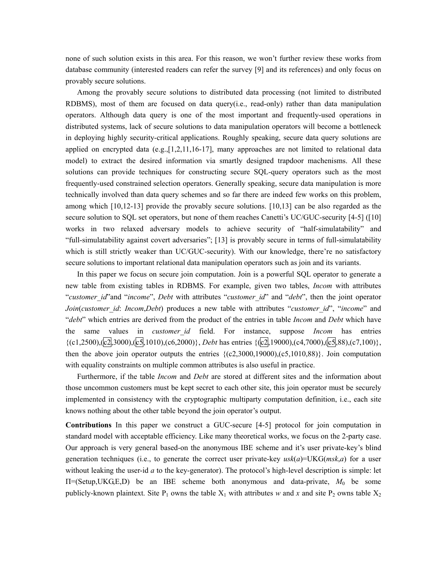none of such solution exists in this area. For this reason, we won't further review these works from database community (interested readers can refer the survey [9] and its references) and only focus on provably secure solutions.

Among the provably secure solutions to distributed data processing (not limited to distributed RDBMS), most of them are focused on data query(i.e., read-only) rather than data manipulation operators. Although data query is one of the most important and frequently-used operations in distributed systems, lack of secure solutions to data manipulation operators will become a bottleneck in deploying highly security-critical applications. Roughly speaking, secure data query solutions are applied on encrypted data  $(e.g., [1,2,11,16-17]$ , many approaches are not limited to relational data model) to extract the desired information via smartly designed trapdoor machenisms. All these solutions can provide techniques for constructing secure SQL-query operators such as the most frequently-used constrained selection operators. Generally speaking, secure data manipulation is more technically involved than data query schemes and so far there are indeed few works on this problem, among which [10,12-13] provide the provably secure solutions. [10,13] can be also regarded as the secure solution to SQL set operators, but none of them reaches Canetti's UC/GUC-security [4-5] ([10] works in two relaxed adversary models to achieve security of "half-simulatability" and "full-simulatability against covert adversaries"; [13] is provably secure in terms of full-simulatability which is still strictly weaker than UC/GUC-security). With our knowledge, there're no satisfactory secure solutions to important relational data manipulation operators such as join and its variants.

In this paper we focus on secure join computation. Join is a powerful SQL operator to generate a new table from existing tables in RDBMS. For example, given two tables, *Incom* with attributes "*customer\_id*"and "*income*", *Debt* with attributes "*customer\_id*" and "*debt*", then the joint operator *Join*(*customer\_id*: *Incom*,*Debt*) produces a new table with attributes "*customer\_id*", "*income*" and "*debt*" which entries are derived from the product of the entries in table *Incom* and *Debt* which have the same values in *customer\_id* field. For instance, suppose *Incom* has entries {(c1,2500),(c2,3000),(c5,1010),(c6,2000)}, *Debt* has entries {(c2,19000),(c4,7000),(c5,88),(c7,100)}, then the above join operator outputs the entries  $\{(c2,3000,19000), (c5,1010,88)\}\$ . Join computation with equality constraints on multiple common attributes is also useful in practice.

Furthermore, if the table *Incom* and *Debt* are stored at different sites and the information about those uncommon customers must be kept secret to each other site, this join operator must be securely implemented in consistency with the cryptographic multiparty computation definition, i.e., each site knows nothing about the other table beyond the join operator's output.

**Contributions** In this paper we construct a GUC-secure [4-5] protocol for join computation in standard model with acceptable efficiency. Like many theoretical works, we focus on the 2-party case. Our approach is very general based-on the anonymous IBE scheme and it's user private-key's blind generation techniques (i.e., to generate the correct user private-key  $usk(a)=UKG(msk,a)$  for a user without leaking the user-id *a* to the key-generator). The protocol's high-level description is simple: let Π=(Setup,UKG,E,D) be an IBE scheme both anonymous and data-private, *M*0 be some publicly-known plaintext. Site P<sub>1</sub> owns the table  $X_1$  with attributes *w* and *x* and site P<sub>2</sub> owns table  $X_2$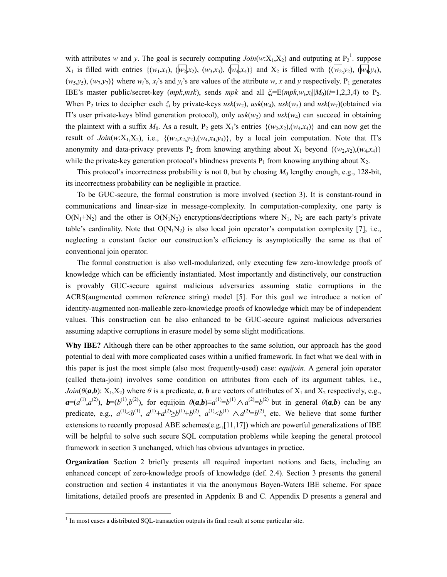with attributes *w* and *y*. The goal is securely computing  $Join(w:X_1,X_2)$  $Join(w:X_1,X_2)$  $Join(w:X_1,X_2)$  and outputing at  $P_2^1$ . suppose  $X_1$  is filled with entries  $\{(w_1, x_1), (\overline{w_2}, x_2), (w_3, x_3), (\overline{w_4}, x_4)\}$  and  $X_2$  is filled with  $\{(\overline{w_2}, y_2), (\overline{w_4}, y_4), (\overline{w_5}, y_5), (\overline{w_6}, y_6)\}$  $(w_5, y_5), (w_7, y_7)$  where  $w_i$ 's,  $x_i$ 's and  $y_i$ 's are values of the attribute  $w$ ,  $x$  and  $y$  respectively. P<sub>1</sub> generates *i* IBE's master public/secret-key (*mpk,msk*), sends *mpk* and all  $\zeta_i = E(mpk, w_i, x_i | M_0)(i=1,2,3,4)$  to P<sub>2</sub>. When P<sub>2</sub> tries to decipher each  $\xi_i$  by private-keys  $usk(w_2)$ ,  $usk(w_4)$ ,  $usk(w_5)$  and  $usk(w_7)$ (obtained via II's user private-keys blind generation protocol), only  $usk(w_2)$  and  $usk(w_4)$  can succeed in obtaining the plaintext with a suffix  $M_0$ . As a result, P<sub>2</sub> gets X<sub>1</sub>'s entries  $\{(w_2,x_2),(w_4,x_4)\}\)$  and can now get the result of *Join*(*w*:X<sub>1</sub>,X<sub>2</sub>), i.e., {(*w*<sub>2</sub>,x<sub>2</sub>,y<sub>2</sub>),(*w*<sub>4</sub>,x<sub>4</sub>,y<sub>4</sub>)}, by a local join computation. Note that  $\Pi$ 's anonymity and data-privacy prevents  $P_2$  from knowing anything about  $X_1$  beyond  $\{(w_2, x_2), (w_4, x_4)\}$ while the private-key generation protocol's blindness prevents  $P_1$  from knowing anything about  $X_2$ .

This protocol's incorrectness probability is not 0, but by chosing  $M_0$  lengthy enough, e.g., 128-bit, its incorrectness probability can be negligible in practice.

To be GUC-secure, the formal constrution is more involved (section 3). It is constant-round in communications and linear-size in message-complexity. In computation-complexity, one party is  $O(N_1+N_2)$  and the other is  $O(N_1N_2)$  encryptions/decriptions where N<sub>1</sub>, N<sub>2</sub> are each party's private table's cardinality. Note that  $O(N_1N_2)$  is also local join operator's computation complexity [7], i.e., neglecting a constant factor our construction's efficiency is asymptotically the same as that of conventional join operator.

The formal construction is also well-modularized, only executing few zero-knowledge proofs of knowledge which can be efficiently instantiated. Most importantly and distinctively, our construction is provably GUC-secure against malicious adversaries assuming static corruptions in the ACRS(augmented common reference string) model [5]. For this goal we introduce a notion of identity-augmented non-malleable zero-knowledge proofs of knowledge which may be of independent values. This construction can be also enhanced to be GUC-secure against malicious adversaries assuming adaptive corruptions in erasure model by some slight modifications.

**Why IBE?** Although there can be other approaches to the same solution, our approach has the good potential to deal with more complicated cases within a unified framework. In fact what we deal with in this paper is just the most simple (also most frequently-used) case: *equijoin*. A general join operator (called theta-join) involves some condition on attributes from each of its argument tables, i.e., *Join*( $\theta$ (*a*,*b*): X<sub>1</sub>,X<sub>2</sub>) where  $\theta$  is a predicate, *a*, *b* are vectors of attributes of X<sub>1</sub> and X<sub>2</sub> respectively, e.g.,  $a=(a^{(1)}, a^{(2)})$ ,  $b=(b^{(1)}, b^{(2)})$ , for equijoin  $\theta(a,b)=a^{(1)}=b^{(1)} \wedge a^{(2)}=b^{(2)}$  but in general  $\theta(a,b)$  can be any predicate, e.g.,  $a^{(1)} \le b^{(1)}$ ,  $a^{(1)} + a^{(2)} \ge b^{(1)} + b^{(2)}$ ,  $a^{(1)} \le b^{(1)}$   $\wedge a^{(2)} = b^{(2)}$ , etc. We believe that some further extensions to recently proposed ABE schemes(e.g., $[11,17]$ ) which are powerful generalizations of IBE will be helpful to solve such secure SQL computation problems while keeping the general protocol framework in section 3 unchanged, which has obvious advantages in practice.

**Organization** Section 2 briefly presents all required important notions and facts, including an enhanced concept of zero-knowledge proofs of knowledge (def. 2.4). Section 3 presents the general construction and section 4 instantiates it via the anonymous Boyen-Waters IBE scheme. For space limitations, detailed proofs are presented in Appdenix B and C. Appendix D presents a general and

<span id="page-2-0"></span> $\frac{1}{1}$  $<sup>1</sup>$  In most cases a distributed SQL-transaction outputs its final result at some particular site.</sup>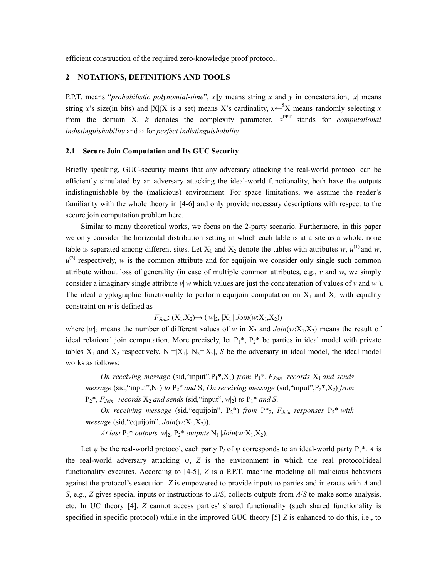efficient construction of the required zero-knowledge proof protocol.

### **2 NOTATIONS, DEFINITIONS AND TOOLS**

P.P.T. means "*probabilistic polynomial-time*", *x*||y means string *x* and *y* in concatenation, |*x*| means string *x*'s size(in bits) and  $|X|(X$  is a set) means X's cardinality,  $x \leftarrow$ <sup>\$</sup>X means randomly selecting *x* from the domain X. *k* denotes the complexity parameter.  $\approx^{\text{PPT}}$  stands for *computational indistinguishability* and ≈ for *perfect indistinguishability*.

#### **2.1 Secure Join Computation and Its GUC Security**

Briefly speaking, GUC-security means that any adversary attacking the real-world protocol can be efficiently simulated by an adversary attacking the ideal-world functionality, both have the outputs indistinguishable by the (malicious) environment. For space limitations, we assume the reader's familiarity with the whole theory in [4-6] and only provide necessary descriptions with respect to the secure join computation problem here.

Similar to many theoretical works, we focus on the 2-party scenario. Furthermore, in this paper we only consider the horizontal distribution setting in which each table is at a site as a whole, none table is separated among different sites. Let  $X_1$  and  $X_2$  denote the tables with attributes *w*,  $u^{(1)}$  and *w*,  $u^{(2)}$  respectively, *w* is the common attribute and for equijoin we consider only single such common attribute without loss of generality (in case of multiple common attributes, e.g.,  $\nu$  and  $w$ , we simply consider a imaginary single attribute  $v||w$  which values are just the concatenation of values of v and w). The ideal cryptographic functionality to perform equijoin computation on  $X_1$  and  $X_2$  with equality constraint on *w* is defined as

$$
F_{Join}
$$
:  $(X_1,X_2) \rightarrow (|w|_2, |X_1|||Join(w:X_1,X_2))$ 

where  $|w_2|$  means the number of different values of *w* in  $X_2$  and *Join*(*w*:X<sub>1</sub>,X<sub>2</sub>) means the reault of ideal relational join computation. More precisely, let  $P_1^*$ ,  $P_2^*$  be parties in ideal model with private tables  $X_1$  and  $X_2$  respectively,  $N_1=|X_1|$ ,  $N_2=|X_2|$ , *S* be the adversary in ideal model, the ideal model works as follows:

*On receiving message* (sid, "input", $P_1$ \*, $X_1$ ) *from*  $P_1$ \*,  $F_{Join}$  *records*  $X_1$  *and sends message* (sid, "input", N<sub>1</sub>) *to*  $P_2$ \* *and* S; *On receiving message* (sid, "input",  $P_2$ \*,  $X_2$ ) *from*  $P_2^*$ ,  $F_{Join}$  *records*  $X_2$  *and sends* (sid, "input",  $|w_2|$  *to*  $P_1^*$  *and S*.

*On receiving message* (sid, "equijoin",  $P_2^*$ ) *from*  $P_{2}^*$ ,  $F_{Join}$  *responses*  $P_2^*$  *with*  $message$  (sid, "equijoin",  $Join(w:X_1,X_2)$ ).

*At last*  $P_1^*$  *outputs*  $|w|_2$ ,  $P_2^*$  *outputs*  $N_1$ ,  $|Join(w:X_1,X_2)$ .

Let  $\psi$  be the real-world protocol, each party P<sub>*i*</sub> of  $\psi$  corresponds to an ideal-world party P<sub>*i*</sub><sup>\*</sup>. *A* is the real-world adversary attacking ψ, *Z* is the environment in which the real protocol/ideal functionality executes. According to [4-5], *Z* is a P.P.T. machine modeling all malicious behaviors against the protocol's execution. *Z* is empowered to provide inputs to parties and interacts with *A* and *S*, e.g., *Z* gives special inputs or instructions to *A*/*S*, collects outputs from *A*/*S* to make some analysis, etc. In UC theory [4], *Z* cannot access parties' shared functionality (such shared functionality is specified in specific protocol) while in the improved GUC theory [5] *Z* is enhanced to do this, i.e., to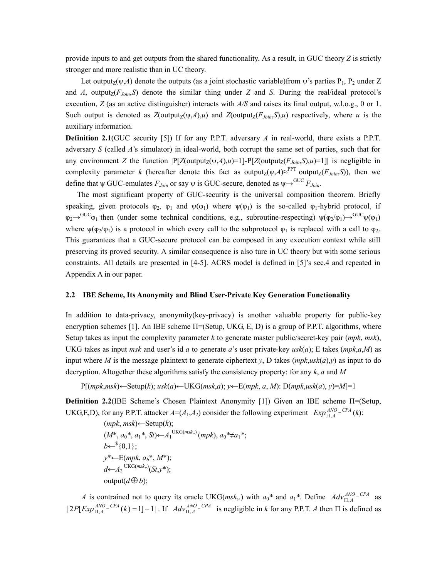provide inputs to and get outputs from the shared functionality. As a result, in GUC theory *Z* is strictly stronger and more realistic than in UC theory.

Let output<sub>Z</sub>( $\psi$ ,*A*) denote the outputs (as a joint stochastic variable)from  $\psi$ 's parties P<sub>1</sub>, P<sub>2</sub> under Z and *A*, output<sub>Z</sub>( $F_{Join}$ , $S$ ) denote the similar thing under *Z* and *S*. During the real/ideal protocol's execution, *Z* (as an active distinguisher) interacts with *A/S* and raises its final output, w.l.o.g., 0 or 1. Such output is denoted as  $Z$ (output<sub>Z</sub>( $\psi$ ,*A*),*u*) and  $Z$ (output<sub>*Z*</sub>( $F$ <sub>*Join*</sub>,*S*),*u*) respectively, where *u* is the auxiliary information.

**Definition 2.1**(GUC security [5]) If for any P.P.T. adversary *A* in real-world, there exists a P.P.T. adversary *S* (called *A*'s simulator) in ideal-world, both corrupt the same set of parties, such that for any environment *Z* the function  $|P[Z(\text{output}_Z(\psi,A),u)=1]-P[Z(\text{output}_Z(F_{Join},S),u)=1]|$  is negligible in complexity parameter *k* (hereafter denote this fact as output<sub>Z</sub>( $\psi$ ,*A*)≈<sup>PPT</sup> output<sub>Z</sub>( $F_{Join}$ ,*S*)), then we define that  $\psi$  GUC-emulates  $F_{Join}$  or say  $\psi$  is GUC-secure, denoted as  $\psi \rightarrow^{GUC} F_{Join}$ .

The most significant property of GUC-security is the universal composition theorem. Briefly speaking, given protocols  $\varphi_2$ ,  $\varphi_1$  and  $\psi(\varphi_1)$  where  $\psi(\varphi_1)$  is the so-called  $\varphi_1$ -hybrid protocol, if  $\varphi_2 \to^{GUC} \varphi_1$  then (under some technical conditions, e.g., subroutine-respecting)  $\psi(\varphi_2/\varphi_1) \to^{GUC} \psi(\varphi_1)$ where  $\psi(\varphi_2/\varphi_1)$  is a protocol in which every call to the subprotocol  $\varphi_1$  is replaced with a call to  $\varphi_2$ . This guarantees that a GUC-secure protocol can be composed in any execution context while still preserving its proved security. A similar consequence is also ture in UC theory but with some serious constraints. All details are presented in [4-5]. ACRS model is defined in [5]'s sec.4 and repeated in Appendix A in our paper.

### **2.2 IBE Scheme, Its Anonymity and Blind User-Private Key Generation Functionality**

In addition to data-privacy, anonymity(key-privacy) is another valuable property for public-key encryption schemes [1]. An IBE scheme  $\Pi$ =(Setup, UKG, E, D) is a group of P.P.T. algorithms, where Setup takes as input the complexity parameter *k* to generate master public/secret-key pair (*mpk*, *msk*), UKG takes as input *msk* and user's id *a* to generate *a*'s user private-key  $usk(a)$ ; E takes  $(mpk,a,M)$  as input where *M* is the message plaintext to generate ciphertext *y*, D takes  $(mpk,usk(a), y)$  as input to do decryption. Altogether these algorithms satisfy the consistency property: for any *k*, *a* and *M*

 $P[(mpk,msk) \leftarrow \text{Setup}(k); \, \text{usk}(a) \leftarrow \text{UKG}(msk,a); \, \text{y} \leftarrow \text{E}(mpk, a, M): \, D(mpk, \text{usk}(a), \, \text{y}) = M] = 1$ 

**Definition 2.2**(IBE Scheme's Chosen Plaintext Anonymity [1]) Given an IBE scheme Π=(Setup, UKG,E,D), for any P.P.T. attacker  $A = (A_1, A_2)$  consider the following experiment  $Exp_{\Pi, A}^{ANO - CPA} (k)$ :

 (*mpk*, *msk*)←Setup(*k*);  $(M^*, a_0^*, a_1^*, St) \leftarrow A_1^{UKG(msk.)} (mpk), a_0^* \neq a_1^*;$  $b \leftarrow$ <sup>\$</sup>{0,1}; *y*\*←E(*mpk*, *ab*\*, *M*\*);  $d$ <sup>←</sup> $A_2$ <sup>UKG(*msk*,.)</sup>(*St*,*y*\*); output( $d \oplus b$ );

*A* is contrained not to query its oracle UKG(*msk*,.) with  $a_0^*$  and  $a_1^*$ . Define  $Adv_{\Pi,A}^{ANO-CPA}$  as  $|2P[Exp_{\Pi,A}^{ANO-CPA}(k)=1]-1|$ . If  $Adv_{\Pi,A}^{ANO-CPA}$  is negligible in *k* for any P.P.T. *A* then  $\Pi$  is defined as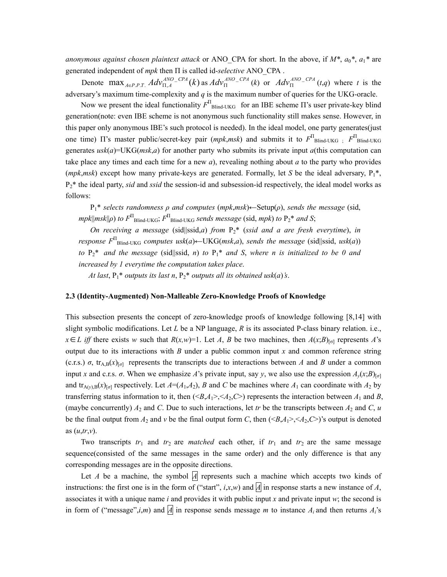*anonymous against chosen plaintext attack* or ANO\_CPA for short. In the above, if *M\**, *a*0*\**, *a*1*\** are generated independent of *mpk* then П is called id-*selective* ANO\_CPA .

Denote  $\max_{A\in P.P.T.} Adv_{\Pi,A}^{ANO-CPA}(k)$  as  $Adv_{\Pi}^{ANO-CPA}(k)$  or  $Adv_{\Pi}^{ANO-CPA}(t,q)$  where t is the adversary's maximum time-complexity and *q* is the maximum number of queries for the UKG-oracle.

Now we present the ideal functionality  $F_{\text{Blind-UKG}}^{\Pi}$  for an IBE scheme  $\Pi$ 's user private-key blind generation(note: even IBE scheme is not anonymous such functionality still makes sense. However, in this paper only anonymous IBE's such protocol is needed). In the ideal model, one party generates(just one time)  $\Pi$ 's master public/secret-key pair (*mpk,msk*) and submits it to  $F^{\Pi}$ Blind-UKG ;  $F^{\Pi}$ Blind-UKG generates *usk*(*a*)=UKG(*msk*,*a*) for another party who submits its private input *a*(this computation can take place any times and each time for a new *a*), revealing nothing about *a* to the party who provides (*mpk*,*msk*) except how many private-keys are generated. Formally, let *S* be the ideal adversary,  $P_1^*$ , P2\* the ideal party, *sid* and *ssid* the session-id and subsession-id respectively, the ideal model works as follows:

P1\* *selects randomness ρ and computes* (*mpk*,*msk*)←Setup(*ρ*), *sends the message* (sid,  $mpk$ ||*msk*|| $\rho$ ) *to*  $F^{\Pi}$ Blind-UKG;  $F^{\Pi}$ Blind-UKG *sends message* (sid, *mpk*) *to*  $P_2$ <sup>\*</sup> *and S*;

*On receiving a message* (sid||ssid,*a*) *from* P2\* (*ssid and a are fresh everytime*), *in response F*<sup>П</sup> Blind-UKG *computes usk*(*a*)←UKG(*msk*,*a*), *sends the message* (sid||ssid, *usk*(*a*)) *to*  $P_2^*$  *and the message* (sid||ssid, *n*) *to*  $P_1^*$  *and S*, *where n is initialized to be 0 and increased by 1 everytime the computation takes place*.

*At last*,  $P_1^*$  *outputs its last n*,  $P_2^*$  *outputs all its obtained usk(a)'s.* 

### **2.3 (Identity-Augmented) Non-Malleable Zero-Knowledge Proofs of Knowledge**

This subsection presents the concept of zero-knowledge proofs of knowledge following [8,14] with slight symbolic modifications. Let *L* be a NP language, *R* is its associated P-class binary relation. i.e.,  $x \in L$  *iff* there exists *w* such that  $R(x, w) = 1$ . Let *A*, *B* be two machines, then  $A(x, B)$ <sub>[σ]</sub> represents *A*'s output due to its interactions with *B* under a public common input *x* and common reference string (c.r.s.)  $\sigma$ , tr<sub>A,B</sub>(*x*)<sub>[ $\sigma$ ] represents the transcripts due to interactions between *A* and *B* under a common</sub> input *x* and c.r.s.  $\sigma$ . When we emphasize *A*'s private input, say *y*, we also use the expression  $A_v(x;B)_{[\sigma]}$ and  $\text{tr}_{A(\nu),B}(x)_{[\sigma]}$  respectively. Let  $A = (A_1, A_2)$ , B and C be machines where  $A_1$  can coordinate with  $A_2$  by transferring status information to it, then  $(\langle B,A_1 \rangle, \langle A_2, C \rangle)$  represents the interaction between  $A_1$  and  $B$ , (maybe concurrently)  $A_2$  and *C*. Due to such interactions, let *tr* be the transcripts between  $A_2$  and  $C$ ,  $u$ be the final output from  $A_2$  and  $\nu$  be the final output form *C*, then  $\langle B, A_1 \rangle, \langle A_2, C \rangle$ 's output is denoted as (*u*,*tr*,*v*).

Two transcripts  $tr_1$  and  $tr_2$  are *matched* each other, if  $tr_1$  and  $tr_2$  are the same message sequence(consisted of the same messages in the same order) and the only difference is that any corresponding messages are in the opposite directions.

Let *A* be a machine, the symbol  $\vert A \vert$  represents such a machine which accepts two kinds of instructions: the first one is in the form of ("start",  $i, x, w$ ) and  $A$  in response starts a new instance of *A*, associates it with a unique name *i* and provides it with public input *x* and private input *w*; the second is in form of ("message",*i*,*m*) and  $\overline{A}$  in response sends message *m* to instance  $A_i$  and then returns  $A_i$ 's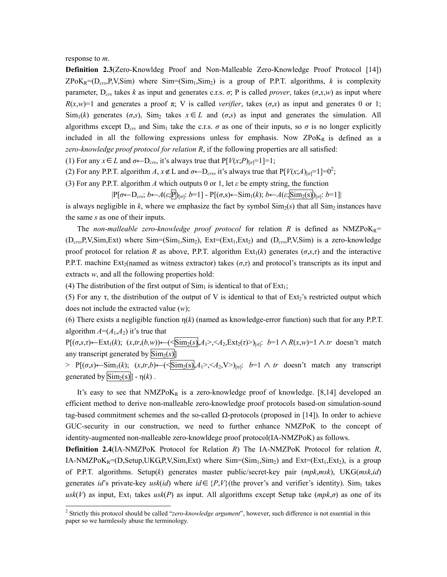response to *m*.

**Definition 2.3**(Zero-Knowldeg Proof and Non-Malleable Zero-Knowledge Proof Protocol [14])  $ZPoK_R=(D_{crs},P,V,Sim)$  where  $Sim=(Sim_1,Sim_2)$  is a group of P.P.T. algorithms, *k* is complexity parameter,  $D_{crs}$  takes *k* as input and generates c.r.s.  $\sigma$ ; P is called *prover*, takes ( $\sigma$ ,*x*,*w*) as input where  $R(x, w) = 1$  and generates a proof  $\pi$ ; V is called *verifier*, takes ( $\sigma$ ,*x*) as input and generates 0 or 1; Sim<sub>1</sub>(k) generates ( $\sigma$ ,*s*), Sim<sub>2</sub> takes  $x \in L$  and ( $\sigma$ ,*s*) as input and generates the simulation. All algorithms except  $D_{crs}$  and Sim<sub>1</sub> take the c.r.s.  $\sigma$  as one of their inputs, so  $\sigma$  is no longer explicitly included in all the following expressions unless for emphasis. Now  $ZPoK_R$  is defined as a *zero-knowledge proof protocol for relation R*, if the following properties are all satisfied:

(1) For any *x* ∈ *L* and  $\sigma$ ←D<sub>*crs*</sub>, it's always true that P[*V*(*x*;*P*)<sub>[ $\sigma$ ]<sup>=1</sup>]=1;</sub>

([2](#page-6-0)) For any P.P.T. algorithm *A*,  $x \notin L$  and  $\sigma \leftarrow D_{crs}$ , it's always true that P[*V*(*x*;*A*)<sub>[ $\sigma$ </sub>=1]=0<sup>2</sup>;

(3) For any P.P.T. algorithm *A* which outputs 0 or 1, let *ε* be empty string, the function

 $|P[\sigma \leftarrow D_{crs}; b \leftarrow A(\varepsilon, \overline{P}]_{[\sigma]}: b=1] - P[(\sigma, s) \leftarrow \text{Sim}_1(k); b \leftarrow A(\varepsilon, \overline{\text{Sim}_2(s)}]_{[\sigma]}: b=1]$ 

is always negligible in  $k$ , where we emphasize the fact by symbol  $\text{Sim}_2(s)$  that all  $\text{Sim}_2$  instances have the same *s* as one of their inputs.

The *non-malleable zero-knowledge proof protocol* for relation  $R$  is defined as NMZPoK<sub>R</sub>= (D*crs*,P,V,Sim,Ext) where Sim=(Sim1,Sim2), Ext=(Ext1,Ext2) and (D*crs*,P,V,Sim) is a zero-knowledge proof protocol for relation *R* as above, P.P.T. algorithm  $Ext_1(k)$  generates ( $\sigma$ , $\sigma$ , $\tau$ ) and the interactive P.P.T. machine Ext<sub>2</sub>(named as witness extractor) takes ( $\sigma$ , $\tau$ ) and protocol's transcripts as its input and extracts *w*, and all the following properties hold:

(4) The distribution of the first output of  $Sim<sub>1</sub>$  is identical to that of  $Ext<sub>1</sub>$ ;

(5) For any  $\tau$ , the distribution of the output of V is identical to that of Ext<sub>2</sub>'s restricted output which does not include the extracted value (*w*);

(6) There exists a negligible function  $\eta(k)$  (named as knowledge-error function) such that for any P.P.T. algorithm  $A=(A_1, A_2)$  it's true that

P[(*σ*,*s*,*τ*)←Ext<sub>1</sub>(*k*); (*x*,*tr*,(*b*,*w*))←( $\leq$ Sim<sub>2</sub>(*s*), $A_1$ >, $\leq$  $A_2$ ,Ext<sub>2</sub>(*τ*)>)<sub>[*σ*]</sub>: *b*=1 ∧ *R*(*x*,*w*)=1 ∧ *tr* doesn't match any transcript generated by  $\overline{\text{Sim}_2(s)}$ ]

 $>$  P[(*σ*,*s*)←Sim<sub>1</sub>(*k*); (*x*,*tr*,*b*)←( $\leq$ Sim<sub>2</sub>(s)<sub>*n*</sub> $A_1$ >, $\leq$  $A_2$ ,V>)<sub>[σ]</sub>: *b*=1 ∧ *tr* doesn't match any transcript generated by  $\text{Sim}_2(s)$ ] - η(*k*).

It's easy to see that  $NMZPoK_R$  is a zero-knowledge proof of knowledge. [8,14] developed an efficient method to derive non-malleable zero-knowledge proof protocols based-on simulation-sound tag-based commitment schemes and the so-called Ω-protocols (proposed in [14]). In order to achieve GUC-security in our construction, we need to further enhance NMZPoK to the concept of identity-augmented non-malleable zero-knowldege proof protocol(IA-NMZPoK) as follows.

**Definition 2.4**(IA-NMZPoK Protocol for Relation *R*) The IA-NMZPoK Protocol for relation *R*, IA-NMZPoK<sub>R</sub>=(D,Setup,UKG,P,V,Sim,Ext) where  $Sim=(Sim_1,Sim_2)$  and  $Ext=(Ext_1,Ext_2)$ , is a group of P.P.T. algorithms. Setup(*k*) generates master public/secret-key pair (*mpk*,*msk*), UKG(*msk*,*id*) generates *id*'s private-key *usk(id)* where  $id \in {P,V}$  (the prover's and verifier's identity). Sim<sub>1</sub> takes  $u$ sk $(V)$  as input, Ext<sub>1</sub> takes  $u$ sk $(P)$  as input. All algorithms except Setup take  $(mp k, \sigma)$  as one of its

<span id="page-6-0"></span><sup>&</sup>lt;sup>2</sup> Strictly this protocol should be called "*zero-knowledge argument*", however, such difference is not essential in this paper so we harmlessly abuse the terminology.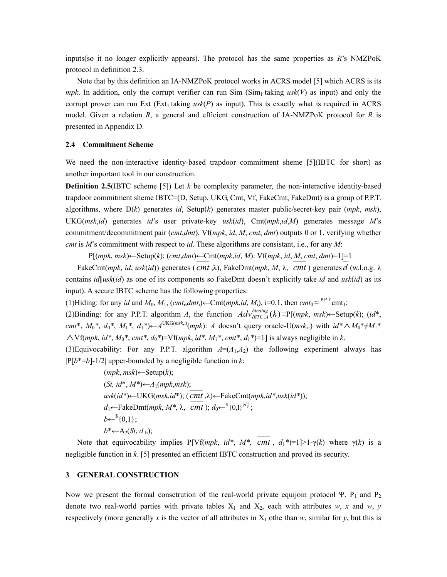inputs(so it no longer explicitly appears). The protocol has the same properties as *R*'s NMZPoK protocol in definition 2.3.

Note that by this definition an IA-NMZPoK protocol works in ACRS model [5] which ACRS is its *mpk*. In addition, only the corrupt verifier can run Sim  $(Sim_1)$  taking usk(V) as input) and only the corrupt prover can run Ext (Ext<sub>1</sub> taking  $usk(P)$  as input). This is exactly what is required in ACRS model. Given a relation *R*, a general and efficient construction of IA-NMZPoK protocol for *R* is presented in Appendix D.

### **2.4 Commitment Scheme**

We need the non-interactive identity-based trapdoor commitment sheme [5](IBTC for short) as another important tool in our construction.

**Definition 2.5**(IBTC scheme [5]) Let *k* be complexity parameter, the non-interactive identity-based trapdoor commitment sheme IBTC=(D, Setup, UKG, Cmt, Vf, FakeCmt, FakeDmt) is a group of P.P.T. algorithms, where D(*k*) generates *id*, Setup(*k*) generates master public/secret-key pair (*mpk*, *msk*), UKG(*msk*,*id*) generates *id*'s user private-key *usk*(*id*), Cmt(*mpk*,*id*,*M*) generates message *M*'s commitment/decommitment pair (*cmt*,*dmt*), Vf(*mpk*, *id*, *M*, *cmt*, *dmt*) outputs 0 or 1, verifying whether *cmt* is *M*'s commitment with respect to *id*. These algorithms are consistant, i.e., for any *M*:

P[(*mpk*, *msk*)←Setup(*k*); (*cmt*,*dmt*)←Cmt(*mpk*,*id*, *M*): Vf(*mpk*, *id*, *M*, *cmt*, *dmt*)=1]=1

FakeCmt(*mpk*, *id*, *usk*(*id*)) generates ( *cmt* ,λ), FakeDmt(*mpk*, *M*, λ, *cmt* ) generates *d* (w.l.o.g. λ contains *id*||*usk*(*id*) as one of its components so FakeDmt doesn't explicitly take *id* and *usk*(*id*) as its input). A secure IBTC scheme has the following properties:

(1)Hiding: for any *id* and  $M_0$ ,  $M_1$ , ( $cmt$ <sub>i</sub>, $dmt$ <sub>i</sub>)←Cmt( $mpk$ ,*id*,  $M$ <sub>i</sub>), i=0,1, then  $cmt_0 \approx$ <sup>P.P.T</sup>.cmt<sub>1</sub>;

(2) Binding: for any P.P.T. algorithm *A*, the function  $Adv_{IBTC,A}^{binding}(k) \equiv P[(mpk, msk) \leftarrow Setup(k); (id*,$  $cmt^*$ ,  $M_0^*$ ,  $d_0^*$ ,  $M_1^*$ ,  $d_1^*$ )←  $A^{UKG(msk,.)}(mpk)$ : *A* doesn't query oracle-U(*msk*,.) with  $id^* \wedge M_0^* \neq M_1^*$ ∧ Vf(*mpk*, *id\**, *M*0*\**, *cmt\**, *d*0*\**)=Vf(*mpk*, *id\**, *M*1*\**, *cmt\**, *d*1*\**)=1] is always negligible in *k*.

(3)Equivocability: For any P.P.T. algorithm  $A=(A_1,A_2)$  the following experiment always has  $|P[b*=b]-1/2|$  upper-bounded by a negligible function in *k*:

> $(mpk, msk) \leftarrow$ Setup $(k)$ ; (*St, id*\*, *M\**)←*A*1(*mpk*,*msk*); *usk*(*id\**)←UKG(*msk*,*id*\*); ( *cmt* ,λ)←FakeCmt(*mpk*,*id\**,*usk*(*id\**));  $d_1 \leftarrow$ FakeDmt(*mpk*,  $M^*$ ,  $\lambda$ ,  $\overline{cmt}$ );  $d_0 \leftarrow$ <sup>§</sup>{0,1}<sup>|d<sub>1</sub>|</sup>;  $b \leftarrow$ <sup>\$</sup>{0,1};  $b^* \leftarrow A_2(St, d_b);$

Note that equivocability implies P[Vf(*mpk*, *id\**, *M\**, *cmt*,  $d_1$ <sup>\*</sup>)=1|>1-γ(*k*) where γ(*k*) is a negligible function in *k*. [5] presented an efficient IBTC construction and proved its security.

### **3 GENERAL CONSTRUCTION**

Now we present the formal consctrution of the real-world private equijoin protocol Ψ. P<sub>1</sub> and P<sub>2</sub> denote two real-world parties with private tables  $X_1$  and  $X_2$ , each with attributes *w*, *x* and *w*, *y* respectively (more generally x is the vector of all attributes in  $X_1$  othe than  $w$ , similar for y, but this is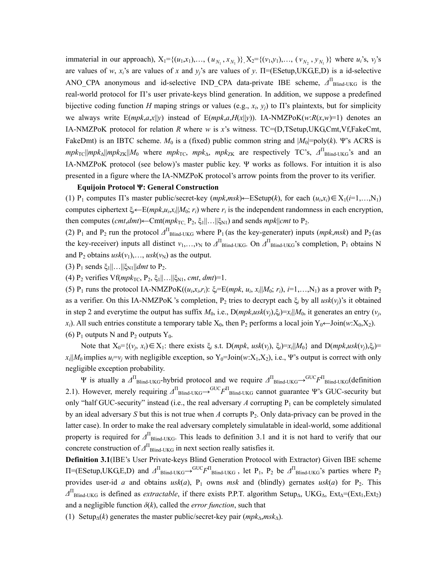immaterial in our approach),  $X_1 = \{(u_1, x_1), \ldots, (u_{N_1}, x_{N_1})\}$ ,  $X_2 = \{(v_1, y_1), \ldots, (v_{N_2}, y_{N_1})\}$  where  $u_i$ 's,  $v_j$ 's are values of *w*,  $x_i$ 's are values of *x* and  $y_i$ 's are values of *y*.  $\Pi$ =(ESetup, UKG, E, D) is a id-selective ANO\_CPA anonymous and id-selective IND\_CPA data-private IBE scheme,  $\Delta_{\text{Blind-UKG}}^{\Pi}$  is the real-world protocol for П's user private-keys blind generation. In addition, we suppose a predefined bijective coding function *H* maping strings or values (e.g.,  $x_i$ ,  $y_j$ ) to  $\Pi$ 's plaintexts, but for simplicity we always write  $E(mpk, a,x||y)$  instead of  $E(mpk, a,H(x||y))$ . IA-NMZPoK $(w:R(x,w)=1)$  denotes an IA-NMZPoK protocol for relation *R* where *w* is *x*'s witness. TC=(D,TSetup,UKG,Cmt,Vf,FakeCmt, FakeDmt) is an IBTC scheme.  $M_0$  is a (fixed) public common string and  $|M_0|$ =poly(k). Ψ's ACRS is  $mpk_{TC}$ || $mpk_{\Delta}$ || $mpk_{ZK}$ || $M_0$  where  $mpk_{TC}$ ,  $mpk_{\Delta}$ ,  $mpk_{ZK}$  are respectively TC's,  $\Delta^{\Pi}$ <sub>Blind-UKG</sub>'s and an IA-NMZPoK protocol (see below)'s master public key. Ψ works as follows. For intuition it is also presented in a figure where the IA-NMZPoK protocol's arrow points from the prover to its verifier.

### **Equijoin Protocol Ψ: General Construction**

(1) P<sub>1</sub> computes  $\Pi$ 's master public/secret-key ( $mpk,msk$ )←ESetup(k), for each  $(u_i,x_i) \in X_1(i=1,...,N_1)$ computes ciphertext  $\xi_i$ ←E(*mpk*, $u_i$ , $x_i$ || $M_0$ ;  $r_i$ ) where  $r_i$  is the independent randomness in each encryption, then computes  $(cmt, dmt) \leftarrow \text{Cmt}(mpk_{\text{TC}}, P_2, \xi_1 || \dots || \xi_{\text{N1}})$  and sends  $mpk || cmt$  to  $P_2$ .

(2) P<sub>1</sub> and P<sub>2</sub> run the protocol  $\Delta$ <sup>II</sup> Blind-UKG where P<sub>1</sub> (as the key-generater) inputs (*mpk,msk*) and P<sub>2</sub> (as the key-receiver) inputs all distinct  $v_1,...,v_N$  to  $\Delta^{\Pi}$ <sub>Blind-UKG</sub>. On  $\Delta^{\Pi}$ <sub>Blind-UKG</sub>'s completion, P<sub>1</sub> obtains N and P<sub>2</sub> obtains  $usk(v_1), \ldots, usk(v_N)$  as the output.

(3)  $P_1$  sends  $\xi_1 || \dots || \xi_{N1} || dm t$  to  $P_2$ .

(4) P<sub>2</sub> verifies Vf( $mpk_{TC}$ , P<sub>2</sub>,  $\xi_1 || \dots ||\xi_{N1}$ , *cmt*, *dmt*)=1.

(5) P<sub>1</sub> runs the protocol IA-NMZPoK $((u_i,x_i,r_i))$ :  $\xi = \mathbb{E}(mpk, u_i, x_i||M_0; r_i)$ ,  $i=1,...,N_1$ ) as a prover with P<sub>2</sub> as a verifier. On this IA-NMZPoK 's completion, P2 tries to decrypt each ξ*i* by all *usk*(*vj*)'s it obtained in step 2 and everytime the output has suffix  $M_0$ , i.e.,  $D(mpk,usk(v_i), \xi_i)=x_i||M_0$ , it generates an entry  $(v_i)$ , *x<sub>i</sub>*). All such entries constitute a temporary table  $X_0$ , then P<sub>2</sub> performs a local join Y<sub>0</sub>←Join(*w*:X<sub>0</sub>,X<sub>2</sub>). (6)  $P_1$  outputs N and  $P_2$  outputs Y<sub>0</sub>.

Note that  $X_0 = \{(v_i, x_i) \in X_1$ : there exists  $\xi_i$  s.t.  $D(mpk, usk(v_i), \xi_i) = x_i | M_0\}$  and  $D(mpk, usk(v_i), \xi_i) = x_i$  $x_i$ ||*M*<sub>0</sub> implies  $u_i = v_i$  with negligible exception, so Y<sub>0</sub>=Join(*w*:X<sub>1</sub>,X<sub>2</sub>), i.e., Ψ's output is correct with only negligible exception probability.

Ψ is atually a *∆*<sup>П</sup> Blind-UKG-hybrid protocol and we require *∆*<sup>П</sup> Blind-UKG→GUC*F*<sup>П</sup> Blind-UKG(definition 2.1). However, merely requiring  $\Delta^{\Pi}$ <sub>Blind-UKG</sub>→G<sup>UC</sup>F<sup>Π</sup><sub>Blind-UKG</sub> cannot guarantee Ψ's GUC-security but only "half GUC-security" instead (i.e., the real adversary  $A$  corrupting  $P_1$  can be completely simulated by an ideal adversary *S* but this is not true when *A* corrupts P2. Only data-privacy can be proved in the latter case). In order to make the real adversary completely simulatable in ideal-world, some additional property is required for  $\Delta$ <sup>Π</sup><sub>Blind-UKG</sub>. This leads to definition 3.1 and it is not hard to verify that our concrete construction of  $\Delta$ <sup>Π</sup><sub>Blind-UKG</sub> in next section really satisfies it.

**Definition 3.1**(IBE's User Private-keys Blind Generation Protocol with Extractor) Given IBE scheme  $\Pi$ =(ESetup,UKG,E,D) and  $\Delta^{\Pi}$ <sub>Blind-UKG</sub>→ $^{GUC}F^{\Pi}$ <sub>Blind-UKG</sub>, let P<sub>1</sub>, P<sub>2</sub> be  $\Delta^{\Pi}$ <sub>Blind-UKG</sub>'s parties where P<sub>2</sub> provides user-id *a* and obtains  $usk(a)$ ,  $P_1$  owns *msk* and (blindly) gernates  $usk(a)$  for  $P_2$ . This  $\Delta$ <sup>II</sup><sub>Blind-UKG</sub> is defined as *extractable*, if there exists P.P.T. algorithm Setup<sub>∆</sub>, UKG<sub>∆</sub>, Ext<sub>∆</sub>=(Ext<sub>1</sub>,Ext<sub>2</sub>) and a negligible function  $\delta(k)$ , called the *error function*, such that

(1) Setup∆(*k*) generates the master public/secret-key pair (*mpk*∆,*msk*∆).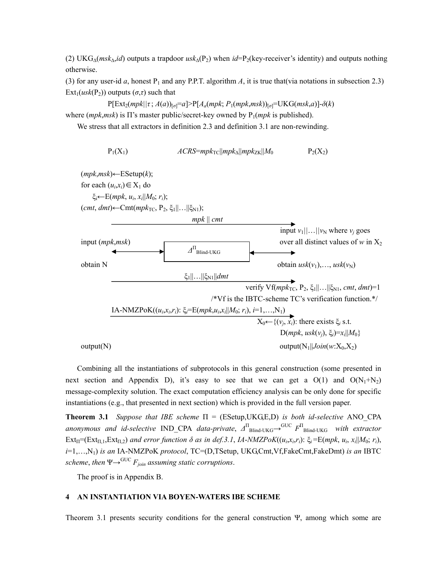(2) UKG∆(*msk*∆,*id*) outputs a trapdoor *usk*∆(P2) when *id*=P2(key-receiver's identity) and outputs nothing otherwise.

(3) for any user-id *a*, honest  $P_1$  and any P.P.T. algorithm *A*, it is true that(via notations in subsection 2.3)  $Ext_1(usk(P_2))$  outputs  $(\sigma, \tau)$  such that

 $P[Ext_2(mpk||τ; A(a))_{[σ]}=a]$ > $P[A_a(mpk; P_1(mpk,msk))_{[σ]}=UKG(msk,a)]-δ(k)$ where  $(mpk,msk)$  is  $\Pi$ 's master public/secret-key owned by  $P_1(mpk$  is published).

We stress that all extractors in definition 2.3 and definition 3.1 are non-rewinding.

$$
P_1(X_1) \hspace{1cm} ACRS = mpk_{\text{TC}} || mpk_{\text{AK}} || Mpk_{\text{ZK}} || M_0 \hspace{1cm} P_2(X_2)
$$



Combining all the instantiations of subprotocols in this general construction (some presented in next section and Appendix D), it's easy to see that we can get a  $O(1)$  and  $O(N_1+N_2)$ message-complexity solution. The exact computation efficiency analysis can be only done for specific instantiations (e.g., that presented in next section) which is provided in the full version paper.

**Theorem 3.1** *Suppose that IBE scheme*  $\Pi = (ESetup, UKG, E, D)$  *is both id-selective* ANO CPA *anonymous and id-selective* IND\_CPA *data-private*, *∆*<sup>П</sup> Blind-UKG→GUC *F*<sup>П</sup> Blind-UKG *with extractor*  $Ext_{\Pi} = (Ext_{\Pi,1}, Ext_{\Pi,2})$  *and error function*  $\delta$  *as in def.3.1, IA-NMZPoK* $((u_i,x_i,r_i): \xi_i = E(mpk, u_i, x_i||M_0; r_i)$ *i*=1,…,N1) *is an* IA-NMZPoK *protocol*, TC=(D,TSetup, UKG,Cmt,Vf,FakeCmt,FakeDmt) *is an* IBTC *scheme, then*  $\Psi \rightarrow^{GUC} F_{join}$  *assuming static corruptions.* 

The proof is in Appendix B.

## **4 AN INSTANTIATION VIA BOYEN-WATERS IBE SCHEME**

Theorem 3.1 presents security conditions for the general construction Ψ, among which some are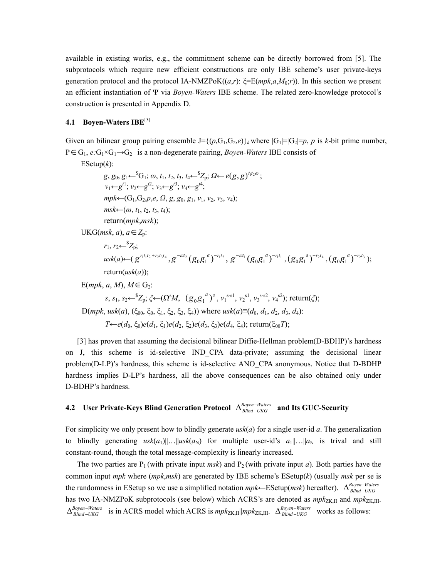available in existing works, e.g., the commitment scheme can be directly borrowed from [5]. The subprotocols which require new efficient constructions are only IBE scheme's user private-keys generation protocol and the protocol IA-NMZPoK $((a,r): \xi=E(mpk,a,M_0;r))$ . In this section we present an efficient instantiation of Ψ via *Boyen-Waters* IBE scheme. The related zero-knowledge protocol's construction is presented in Appendix D.

# **4.1 Boyen-Waters IBE**[3]

Given an bilinear group pairing ensemble  $J=\{(p,G_1,G_2,e)\}\$ <sub>k</sub> where  $|G_1|=|G_2|=p$ , *p* is *k*-bit prime number, P∈G<sub>1</sub>, *e*:G<sub>1</sub>×G<sub>1</sub>→G<sub>2</sub> is a non-degenerate pairing, *Boyen-Waters* **IBE** consists of

ESetup(*k*):

 $g, g_0, g_1 \leftarrow {}^S G_1; \omega, t_1, t_2, t_3, t_4 \leftarrow {}^S Z_p; \Omega \leftarrow e(g, g)^{t_1 t_2 \omega};$  $v_1 \leftarrow g^{t1}$ ;  $v_2 \leftarrow g^{t2}$ ;  $v_3 \leftarrow g^{t3}$ ;  $v_4 \leftarrow g^{t4}$ ;  $mpk\leftarrow(G_1, G_2, p, e, \Omega, g, g_0, g_1, v_1, v_2, v_3, v_4);$  $msk \leftarrow (\omega, t_1, t_2, t_3, t_4);$ return(*mpk*,*msk*); UKG(*msk*, *a*), *a* ∈  $Z_p$ :  $r_1, r_2 \leftarrow {^sZ_p};$  $usk(a) \leftarrow (g^{r_1t_1t_2+r_2t_3t_4}, g^{-\overline{\omega}t_2}(g_0g_1^{a})^{-r_1t_2}, g^{-\overline{\omega}t_1}(g_0g_1^{a})^{-r_1t_1}, (g_0g_1^{a})^{-r_2t_4}, (g_0g_1^{a})^{-r_2t_3});$  $return(usk(a))$ ;  $E(mpk, a, M)$ ,  $M \in G_2$ :  $s, s_1, s_2 \leftarrow {}^S Z_p$ ;  $\zeta \leftarrow (\Omega^s M, (g_0 g_1^{a})^s, v_1^{s-s1}, v_2^{s1}, v_3^{s-s2}, v_4^{s2})$ ; return( $\zeta$ );  $D(mpk, usk(a), (\xi_{00}, \xi_{0}, \xi_{1}, \xi_{2}, \xi_{3}, \xi_{4})$ ) where  $usk(a) \equiv (d_0, d_1, d_2, d_3, d_4)$ :  $T \leftarrow e(d_0, \xi_0)e(d_1, \xi_1)e(d_2, \xi_2)e(d_3, \xi_3)e(d_4, \xi_4)$ ; return( $\xi_{00}T$ );

[3] has proven that assuming the decisional bilinear Diffie-Hellman problem(D-BDHP)'s hardness on J, this scheme is id-selective IND\_CPA data-private; assuming the decisional linear problem(D-LP)'s hardness, this scheme is id-selective ANO\_CPA anonymous. Notice that D-BDHP hardness implies D-LP's hardness, all the above consequences can be also obtained only under D-BDHP's hardness.

# **4.2** User Private-Keys Blind Generation Protocol  $\Delta_{Blind-UKG}^{Boyen-Waters}$  and Its GUC-Security

For simplicity we only present how to blindly generate *usk*(*a*) for a single user-id *a*. The generalization to blindly generating  $usk(a_1)||...||usk(a_N)$  for multiple user-id's  $a_1||...||a_N$  is trival and still constant-round, though the total message-complexity is linearly increased.

The two parties are  $P_1$  (with private input *msk*) and  $P_2$  (with private input *a*). Both parties have the common input *mpk* where (*mpk*,*msk*) are generated by IBE scheme's ESetup(*k*) (usually *msk* per se is the randomness in ESetup so we use a simplified notation  $mpk$ ←ESetup( $msk$ ) hereafter).  $\Delta_{Blind-I/KG}^{Boyen-Waters}$ has two IA-NMZPoK subprotocols (see below) which ACRS's are denoted as  $mpk_{ZK,II}$  and  $mpk_{ZK,III}$ . ∆Boyen–Wate<br>∆Blind –UKG  $\Delta_{Blind-UKG}^{Boyen-Waters}$  is in ACRS model which ACRS is  $mpk_{ZK,III}$ || $mpk_{ZK,III}$ .  $\Delta_{Blind-UKG}^{Boyen-Waters}$  works as follows: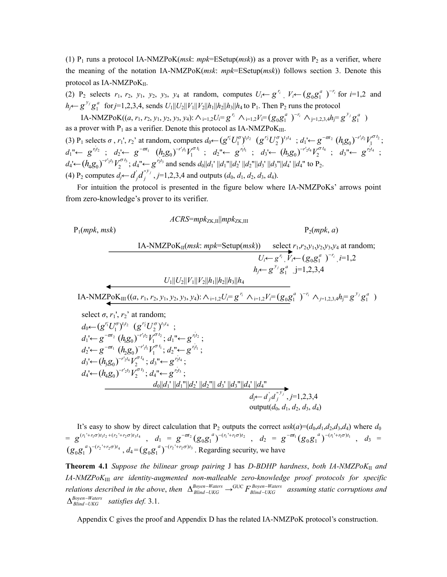(1)  $P_1$  runs a protocol IA-NMZPoK(*msk*: *mpk*=ESetup(*msk*)) as a prover with  $P_2$  as a verifier, where the meaning of the notation IA-NMZPoK(*msk*: *mpk*=ESetup(*msk*)) follows section 3. Denote this protocol as  $IA\text{-}NMZPoK<sub>II</sub>$ .

(2) P<sub>2</sub> selects  $r_1$ ,  $r_2$ ,  $y_1$ ,  $y_2$ ,  $y_3$ ,  $y_4$  at random, computes  $U_i \leftarrow g^{r_i}$ ,  $V_i \leftarrow (g_0 g_1^a)^{-r_i}$  for  $i=1,2$  and *h<sub>j</sub>*←  $g^{y_j}g_1^a$  for *j*=1,2,3,4, sends  $U_1||U_2||V_1||V_2||h_1||h_2||h_3||h_4$  to P<sub>1</sub>. Then P<sub>2</sub> runs the protocol

IA-NMZPoK((*a*,  $r_1$ ,  $r_2$ ,  $y_1$ ,  $y_2$ ,  $y_3$ ,  $y_4$ ):  $\wedge_{i=1,2}U_i = g^{r_i} \wedge_{i=1,2}V_i = (g_0g_1^{a})^{-r_i} \wedge_{j=1,2,3,4} h_j = g^{y_j}g_1^{a}$ ) as a prover with  $P_1$  as a verifier. Denote this protocol as IA-NMZPo $K_{III}$ .

(3)  $P_1$  selects  $\sigma$ ,  $r_1$ ',  $r_2$ ' at random, computes  $d_0 \leftarrow (g^{r_1} U_1^{\sigma})^{t_1 t_2}$   $(g^{r_2} U_2^{\sigma})^{t_3 t_4}$ ;  $d_1 \leftarrow g^{-\sigma t_2} (h_1 g_0)^{-r_1 t_2} V_1^{\sigma t_2}$ ;  $d_1'' \leftarrow g^{r_1'r_2}$ ;  $d_2' \leftarrow g^{-\varpi r_1} (h_2 g_0)^{-r_1'r_1} V_1^{\sigma r_1}$ ;  $d_2'' \leftarrow g^{r_1'r_1}$ ;  $d_3' \leftarrow (h_3 g_0)^{-r_2'r_4} V_2^{\sigma r_4}$ ;  $d_3'' \leftarrow g^{r_2'r_4}$ ;  $d_4' \leftarrow (h_4 g_0)^{-r_2 t_3} V_2^{\sigma t_3}$ ;  $d_4'' \leftarrow g^{r_2 t_3}$  and sends  $d_0 || d_1'' || d_1'' || d_2'' || d_2'' || d_3'' || d_3'' || d_4''$  to P<sub>2</sub>.  $(d)$  P<sub>2</sub> computes  $d_j \leftarrow d'_j d''_j$ ,  $j=1,2,3,4$  and outputs  $(d_0, d_1, d_2, d_3, d_4)$ .

For intuition the protocol is presented in the figure below where IA-NMZPoKs' arrows point from zero-knowledge's prover to its verifier.

 $ACRS=mpk_{ZK}$ <sub>II</sub> $\|mpk_{ZK}$ <sub>III</sub>

 $P_1(mpk, msk)$   $P_2(mpk, a)$ 

IA-NMZPoK<sub>II</sub>(*msk: mpk*=Setup(*msk*)) select  $r_1, r_2, y_1, y_2, y_3, y_4$  at random;  $U_i \leftarrow g^{r_i}$ ,  $V_i \leftarrow (g_0 g_1^a)^{-r_i}$ ,  $i=1,2$  $h_j \leftarrow g^{y_j} g_1^a$ , j=1,2,3,4  $U_1||U_2||V_1||V_2||h_1||h_2||h_3||h_4$ IA-NMZPoK<sub>III</sub>  $((a, r_1, r_2, y_1, y_2, y_3, y_4): \wedge_{i=1,2}U_i=g^{r_i} \wedge_{i=1,2}V_i=(g_0g_1^{a})^{-r_i} \wedge_{j=1,2,3,4}h_j=g^{y_j}g_1^{a})$ select  $\sigma$ ,  $r_1$ ',  $r_2$ ' at random;  $d_0 \leftarrow (g^{r_1^c} U_1^{\sigma})^{t_1 t_2}$   $(g^{r_2^c} U_2^{\sigma})^{t_3 t_4}$ ;  $d_1' \leftarrow g^{-\varpi t_2} (h_1 g_0)^{-r_1' t_2} V_1^{\sigma t_2}; d_1'' \leftarrow g^{r_1' t_2};$  $d_2' \leftarrow g^{-\varpi t_1} (h_2 g_0)^{-r_1 t_1} V_1^{\sigma t_1}; d_2'' \leftarrow g^{r_1 t_1};$  $d_3' \leftarrow (h_3 g_0)^{-r_2 t_4} V_2^{\sigma t_4}; d_3'' \leftarrow g^{r_2 t_4};$  $d_4' \leftarrow (h_4 g_0)^{-r_2 t_3} V_2^{\sigma t_3}; d_4'' \leftarrow g^{r_2 t_3};$  $d_0$ || $d_1$ ' || $d_1$ ''|| $d_2$ ' || $d_2$ ''|| $d_3$ ' || $d_3$ ''|| $d_4$ ' || $d_4$ ''  $d_j \leftarrow d'_j d''_j$ , *j*=1,2,3,4 output(*d*0, *d*1, *d*2, *d*3, *d*4)

It's easy to show by direct calculation that  $P_2$  outputs the correct  $usk(a) = (d_0, d_1, d_2, d_3, d_4)$  where  $d_0$  $= g^{(r_1^{\prime}+r_1\sigma)t_1t_2+(r_2^{\prime}+r_2\sigma)t_3t_4}$ ,  $d_1 = g^{-\overline{\omega}t_2}(g_0g_1^{a})^{-(r_1^{\prime}+r_1\sigma)t_2}$ ,  $d_2 = g^{-\overline{\omega}t_1}(g_0g_1^{a})^{-(r_1^{\prime}+r_1\sigma)t_1}$ ,  $d_3 =$  $(g_0 g_1^{a})^{-(r_2'+r_2\sigma)t_4}$ ,  $d_4 = (g_0 g_1^{a})^{-(r_2'+r_2\sigma)t_3}$ . Regarding security, we have

**Theorem 4.1** *Suppose the bilinear group pairing* J has *D-BDHP hardness*, *both IA-NMZPoK*II *and IA-NMZPoK*III *are identity-augmented non-malleable zero-knowledge proof protocols for specific relations described in the above, then*  $\Delta_{\text{Blind}-}^{\text{Boyen}-}$ − *Waters* → GUC *F Boyen–Waters* assuming static corruptions and  $\Delta_{\text{Blind}-UKG}^{\text{Boyen}-Waters}$  *satisfies def.* 3.1.

Appendix C gives the proof and Appendix D has the related IA-NMZPoK protocol's construction.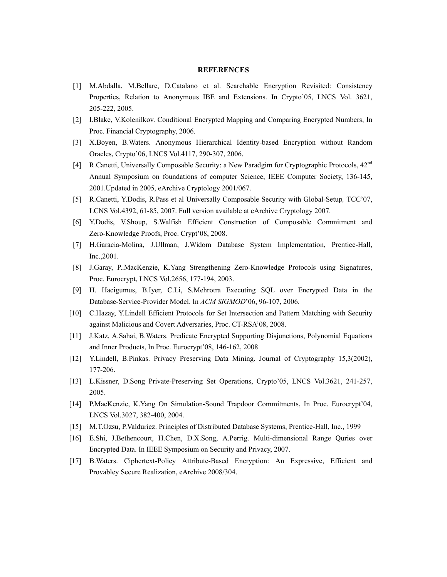### **REFERENCES**

- [1] M.Abdalla, M.Bellare, D.Catalano et al. Searchable Encryption Revisited: Consistency Properties, Relation to Anonymous IBE and Extensions. In Crypto'05, LNCS Vol. 3621, 205-222, 2005.
- [2] I.Blake, V.Kolenilkov. Conditional Encrypted Mapping and Comparing Encrypted Numbers, In Proc. Financial Cryptography, 2006.
- [3] X.Boyen, B.Waters. Anonymous Hierarchical Identity-based Encryption without Random Oracles, Crypto'06, LNCS Vol.4117, 290-307, 2006.
- [4] R.Canetti, Universally Composable Security: a New Paradgim for Cryptographic Protocols, 42nd Annual Symposium on foundations of computer Science, IEEE Computer Society, 136-145, 2001.Updated in 2005, eArchive Cryptology 2001/067.
- [5] R.Canetti, Y.Dodis, R.Pass et al Universally Composable Security with Global-Setup*,* TCC'07, LCNS Vol.4392, 61-85, 2007. Full version available at eArchive Cryptology 2007.
- [6] Y.Dodis, V.Shoup, S.Walfish Efficient Construction of Composable Commitment and Zero-Knowledge Proofs, Proc. Crypt'08, 2008.
- [7] H.Garacia-Molina, J.Ullman, J.Widom Database System Implementation, Prentice-Hall, Inc.,2001.
- [8] J.Garay, P..MacKenzie, K.Yang Strengthening Zero-Knowledge Protocols using Signatures, Proc. Eurocrypt, LNCS Vol.2656, 177-194, 2003.
- [9] H. Hacigumus, B.Iyer, C.Li, S.Mehrotra Executing SQL over Encrypted Data in the Database-Service-Provider Model. In *ACM SIGMOD*'06, 96-107, 2006.
- [10] C.Hazay, Y.Lindell Efficient Protocols for Set Intersection and Pattern Matching with Security against Malicious and Covert Adversaries, Proc. CT-RSA'08, 2008.
- [11] J.Katz, A.Sahai, B.Waters. Predicate Encrypted Supporting Disjunctions, Polynomial Equations and Inner Products, In Proc. Eurocrypt'08, 146-162, 2008
- [12] Y.Lindell, B.Pinkas. Privacy Preserving Data Mining. Journal of Cryptography 15,3(2002), 177-206.
- [13] L.Kissner, D.Song Private-Preserving Set Operations, Crypto'05, LNCS Vol.3621, 241-257, 2005.
- [14] P.MacKenzie, K.Yang On Simulation-Sound Trapdoor Commitments, In Proc. Eurocrypt'04, LNCS Vol.3027, 382-400, 2004.
- [15] M.T.Ozsu, P.Valduriez. Principles of Distributed Database Systems, Prentice-Hall, Inc., 1999
- [16] E.Shi, J.Bethencourt, H.Chen, D.X.Song, A.Perrig. Multi-dimensional Range Quries over Encrypted Data. In IEEE Symposium on Security and Privacy, 2007.
- [17] B.Waters. Ciphertext-Policy Attribute-Based Encryption: An Expressive, Efficient and Provabley Secure Realization, eArchive 2008/304.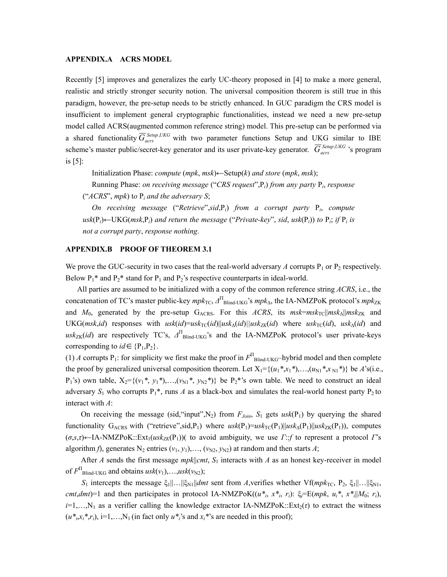### **APPENDIX.A ACRS MODEL**

Recently [5] improves and generalizes the early UC-theory proposed in [4] to make a more general, realistic and strictly stronger security notion. The universal composition theorem is still true in this paradigm, however, the pre-setup needs to be strictly enhanced. In GUC paradigm the CRS model is insufficient to implement general cryptographic functionalities, instead we need a new pre-setup model called ACRS(augmented common reference string) model. This pre-setup can be performed via a shared functionality  $\overline{G}_{acrs}^{Setup,UKG}$  with two parameter functions Setup and UKG similar to IBE scheme's master public/secret-key generator and its user private-key generator.  $\overline{G}_{acrs}^{Setup,UKG}$  's program is [5]:

Initialization Phase: *compute*  $(mpk, msk) \leftarrow$ Setup(*k*) *and store*  $(mpk, msk)$ ;

Running Phase: *on receiving message* ("*CRS request*",P*i*) *from any party* P*i*, *response*

("*ACRS*", *mpk*) t*o* P*<sup>i</sup> and the adversary S*;

*On receiving message* ("*Retrieve*",*sid*,P*i*) *from a corrupt party* P*i*, *compute*   $u$ sk $(P_i)$ ←UKG(*msk*, $P_i$ ) *and return the message* ("*Private-key*", *sid*,  $u$ sk $(P_i)$ ) *to*  $P_i$ ; *if*  $P_i$  *is not a corrupt party*, *response nothing*.

### **APPENDIX.B PROOF OF THEOREM 3.1**

We prove the GUC-security in two cases that the real-world adversary A corrupts  $P_1$  or  $P_2$  respectively. Below  $P_1^*$  and  $P_2^*$  stand for  $P_1$  and  $P_2^*$  respective counterparts in ideal-world.

All parties are assumed to be initialized with a copy of the common reference string *ACRS*, i.e., the concatenation of TC's master public-key  $mpk_{TC}$ ,  $\Delta^{H}$ <sub>Blind-UKG</sub>'s  $mpk_{\Delta}$ , the IA-NMZPoK protocol's  $mpk_{ZK}$ and  $M_0$ , generated by the pre-setup G<sub>ACRS</sub>. For this *ACRS*, its  $msk=msk<sub>TC</sub>||msk<sub>Δ</sub>||msk<sub>ZK</sub>$  and UKG(*msk,id*) responses with  $usk(id)=usk_{TC}(id)||usk_{\Delta}(id)||usk_{ZK}(id)$  where  $usk_{TC}(id)$ ,  $usk_{\Delta}(id)$  and  $u$ s $k$ <sub>ZK</sub>(*id*) are respectively TC's,  $\Delta$ <sup>II</sup><sub>Blind-UKG</sub>'s and the IA-NMZPoK protocol's user private-keys corresponding to  $id \in \{P_1, P_2\}$ .

(1) *A* corrupts P<sub>1</sub>: for simplicity we first make the proof in  $F<sup>T</sup>_{\text{Blind-UKG}}$ -hybrid model and then complete the proof by generalized universal composition theorem. Let  $X_1 = \{(u_1^*, x_1^*, \ldots, (u_{N1}^*, x_{N1}^*)\}$  be *A*'s(i.e.,  $P_1$ 's) own table,  $X_2 = \{(v_1^*, y_1^*, \ldots, (v_{N1}^*, y_{N2}^*)\}$  be  $P_2^*$ 's own table. We need to construct an ideal adversary  $S_1$  who corrupts  $P_1^*$ , runs *A* as a black-box and simulates the real-world honest party  $P_2$  to interact with *A*:

On receiving the message (sid, "input",  $N_2$ ) from  $F_{Join}$ ,  $S_1$  gets  $usk(P_1)$  by querying the shared functionality G<sub>ACRS</sub> with ("retrieve",sid,P<sub>1</sub>) where  $usk(P_1)=usk_{\text{TC}}(P_1)||usk_{\text{2}}(P_1)||usk_{\text{2}}(P_1))$ , computes  $(\sigma, s, \tau)$ ←IA-NMZPoK::Ext<sub>1</sub>(*usk<sub>ZK</sub>*(P<sub>1</sub>))( to avoid ambiguity, we use *Γ*:*f* to represent a protocol *Γ*'s algorithm *f*), generates N<sub>2</sub> entries  $(v_1, y_1), \ldots, (v_{N2}, y_{N2})$  at random and then starts *A*;

After *A* sends the first message *mpk*||*cmt*, *S*<sub>1</sub> interacts with *A* as an honest key-receiver in model of  $F_{\text{Blind-UKG}}^{\text{II}}$  and obtains  $usk(v_1), \ldots, usk(v_{N2})$ ;

 $S_1$  intercepts the message  $\xi_1||\ldots||\xi_N||$ *dmt* sent from *A*,verifies whether Vf(*mpk*<sub>TC</sub>, P<sub>2</sub>,  $\xi_1||\ldots||\xi_N|$ , *cmt*,*dmt*)=1 and then participates in protocol IA-NMZPoK( $(u^*, x^*, r_i)$ :  $\xi_i = E(mpk, u_i^*, x^*_{i}|M_0; r_i)$ ,  $i=1,...,N_1$  as a verifier calling the knowledge extractor IA-NMZPoK::Ext<sub>2</sub>(*τ*) to extract the witness  $(u^*, x_i^*, r_i)$ , i=1,...,N<sub>1</sub> (in fact only  $u^*$ <sub>i</sub>'s and  $x_i^*$ 's are needed in this proof);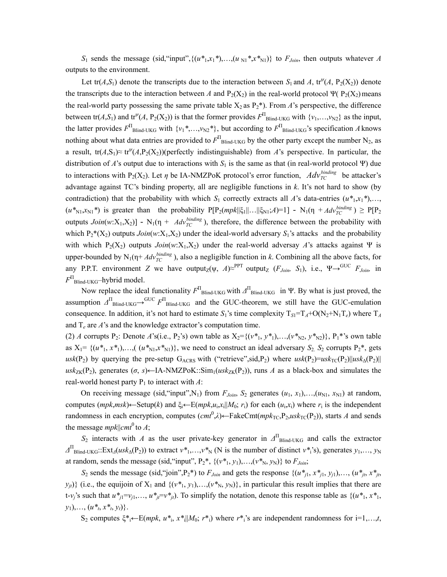*S*<sub>1</sub> sends the message (sid, "input",  $\{(u^*_{1},x_1^*),...,(u_{N1}^*,x^*_{N1})\}$  to  $F_{Join}$ , then outputs whatever *A* outputs to the environment.

Let tr( $A$ , $S$ <sub>1</sub>) denote the transcripts due to the interaction between  $S$ <sub>1</sub> and  $A$ , tr<sup> $\psi$ </sup>( $A$ , P<sub>2</sub>(X<sub>2</sub>)) denote the transcripts due to the interaction between *A* and  $P_2(X_2)$  in the real-world protocol Ψ( $P_2(X_2)$ ) means the real-world party possessing the same private table  $X_2$  as  $P_2^*$ ). From *A*'s perspective, the difference between  $tr(A, S_1)$  and  $tr^{\psi}(A, P_2(X_2))$  is that the former provides  $F^{\Pi}$ <sub>Blind-UKG</sub> with  $\{v_1, \ldots, v_{N2}\}$  as the input, the latter provides  $F^{\Pi}$ <sub>Blind-UKG</sub> with  $\{v_1^*,...,v_{N2}^*\}$ , but according to  $F^{\Pi}$ <sub>Blind-UKG</sub>'s specification *A* knows nothing about what data entries are provided to  $F_{\text{Blind-UKG}}^{\Pi}$  by the other party except the number N<sub>2</sub>, as a result, tr( $A, S_1$ )≈ tr<sup> $\psi$ </sup>( $A, P_2$ ( $X_2$ ))(perfectly indistinguishable) from  $A$ 's perspective. In particular, the distribution of *A*'s output due to interactions with  $S_1$  is the same as that (in real-world protocol Ψ) due to interactions with P<sub>2</sub>(X<sub>2</sub>). Let  $\eta$  be IA-NMZPoK protocol's error function,  $Adv_{TC}^{binding}$  be attacker's advantage against TC's binding property, all are negligible functions in *k*. It's not hard to show (by contradiction) that the probability with which  $S_1$  correctly extracts all *A*'s data-entries  $(u^*, x_1^*, \ldots, x_n^*)$  $(u^*_{N1}, x_{N1}^*)$  is greater than the probability  $P[P_2(mpk||\xi_1||...||\xi_{N1};A)=1] - N_1(\eta + Adv_{TC}^{binding}) \geq P[P_2]$ outputs  $Join(w:X_1,X_2)$  - N<sub>1</sub>( $\eta$  +  $Adv_{TC}^{binding}$ ), therefore, the difference between the probability with which  $P_2^*(X_2)$  outputs  $Join(w:X_1,X_2)$  under the ideal-world adversary  $S_1$ 's attacks and the probability with which  $P_2(X_2)$  outputs  $Join(w:X_1,X_2)$  under the real-world adversay A's attacks against  $\Psi$  is upper-bounded by  $N_1(\eta + Adv_{TC}^{binding})$ , also a negligible function in *k*. Combining all the above facts, for any P.P.T. environment *Z* we have output<sub>Z</sub>( $\psi$ ,  $A \approx PPT$  output<sub>Z</sub> ( $F_{Join}$ ,  $S_1$ ), i.e.,  $\Psi \rightarrow GUC$   $F_{Join}$ , in *F*П Blind-UKG–hybrid model.

Now replace the ideal functionality  $F^{\Pi}$ <sub>Blind-UKG</sub> with  $\Delta^{\Pi}$ <sub>Blind-UKG</sub> in Ψ. By what is just proved, the assumption  $\Delta^{\Pi}$ <sub>Blind-UKG</sub>  $\rightarrow$ <sup>GUC</sup>  $F^{\Pi}$ <sub>Blind-UKG</sub> and the GUC-theorem, we still have the GUC-emulation consequence. In addition, it's not hard to estimate  $S_1$ 's time complexity  $T_{S1} = T_A + O(N_2 + N_1T_e)$  where  $T_A$ and  $T_e$  are  $A$ 's and the knowledge extractor's computation time.

(2) *A* corrupts P<sub>2</sub>: Denote *A*'s(i.e., P<sub>2</sub>'s) own table as  $X_2 = \{(v^*_{1}, y^*_{1}), ..., (v^*_{N2}, y^*_{N2})\}, P_1^*$ 's own table as  $X_1 = \{(u^*, x^*)$ ,..., $(u^*, x^*)$ }, we need to construct an ideal adversary  $S_2$ .  $S_2$  corrupts  $P_2^*$ , gets  $u$ sk $(P_2)$  by querying the pre-setup G<sub>ACRS</sub> with ("retrieve",sid,P<sub>2</sub>) where  $u$ sk $(P_2)=u$ sk<sub>TC</sub>(P<sub>2</sub>)|| $u$ sk<sub>Δ</sub> $(P_2)$ ||  $u$ sk<sub>ZK</sub>(P<sub>2</sub>), generates (*σ*, *s*)←IA-NMZPoK::Sim<sub>1</sub>( $u$ sk<sub>ZK</sub>(P<sub>2</sub>)), runs *A* as a black-box and simulates the real-world honest party  $P_1$  to interact with *A*:

On receiving message (sid, "input", N<sub>1</sub>) from  $F_{Join}$ ,  $S_2$  generates  $(u_1, x_1), \ldots, (u_{N1}, x_{N1})$  at random, computes  $(mpk,msk) \leftarrow$  Setup(k) and  $\xi_i \leftarrow E(mpk, u_i,x_i||M_0; r_i)$  for each  $(u_i,x_i)$  where  $r_i$  is the independent randomness in each encryption, computes  $(cmt^0, \lambda) \leftarrow$  FakeCmt $(mpk_{TC}, P_2, usk_{TC}(P_2))$ , starts *A* and sends the message  $mpk||cm<sup>0</sup>$  to *A*;

 $S_2$  interacts with *A* as the user private-key generator in  $\Delta$ <sup>Π</sup><sub>Blind-UKG</sub> and calls the extractor  $\Delta$ <sup>π</sup><sub>Blind-UKG</sub>::Ext<sub>Δ</sub>(*usk*<sub>Δ</sub>(P<sub>2</sub>)) to extract *v*\*<sub>1</sub>,…,*v*\*<sub>N</sub> (N is the number of distinct *v*\*<sub>i</sub>'s), generates *y*<sub>1</sub>,…, *y*<sub>N</sub> at random, sends the message (sid, "input",  $P_2^*$ ,  $\{(v^*_{1}, y_1), \ldots, (v^*_{N}, y_N)\}$  to  $F_{Join}$ ;

 $S_2$  sends the message (sid, "join",  $P_2$ ") to  $F_{Join}$  and gets the response  $\{(u^*_{i1}, x^*_{i1}, y_{i1}), \ldots, (u^*_{i,t}, x^*_{i,t})\}$  $y_{j}(i)$  (i.e., the equijoin of  $X_1$  and  $\{(v^*_{1}, y_1), ..., (v^*_{N}, y_N)\}$ , in particular this result implies that there are  $t-v_j$ 's such that  $u^*_{j1}=v_{j1},..., u^*_{j}=\overline{v^*_{j1}}$ . To simplify the notation, denote this response table as  $\{(u^*_{1}, x^*_{1},..., u^*_{j1}=\overline{v^*_{j1}}\})$  $y_1)$ ,...,  $(u^*, x^*, y_t)$ .

S<sub>2</sub> computes  $\xi^*$ <sub>i</sub>←E(*mpk*,  $u^*$ <sub>i</sub>,  $x^*$ <sub>i</sub>||*M*<sub>0</sub>;  $r^*$ <sub>i</sub>) where  $r^*$ <sup>i</sup><sub>i</sub>'s are independent randomness for i=1,…,*t*,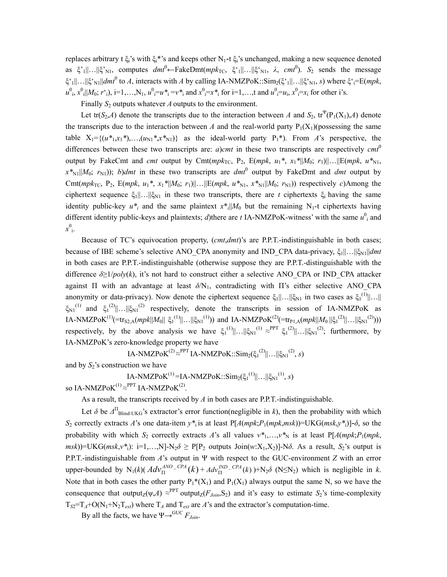replaces arbitrary t  $\xi_i$ 's with  $\xi_i$ <sup>\*</sup>'s and keeps other N<sub>1</sub>-t  $\xi_i$ 's unchanged, making a new sequence denoted as  $\xi'_{1}$ ||…|| $\xi'_{N1}$ , computes  $dm^{0}$ ←FakeDmt( $mpk_{TC}$ ,  $\xi'_{1}$ ||…|| $\xi'_{N1}$ ,  $\lambda$ ,  $cm^{0}$ ).  $S_{2}$  sends the message ξ'<sub>1</sub>||…||ξ'<sub>N1</sub>||*dmt*<sup>0</sup> to *A*, interacts with *A* by calling IA-NMZPoK::Sim<sub>2</sub>(ξ'<sub>1</sub>||…||ξ'<sub>N1</sub>, *s*) where ξ'<sub>i</sub>=E(*mpk*,  $u^0$ ,  $x^0$ <sub>i</sub> $|M_0; r^i$ ,  $j$ ,  $i=1,...,N_1$ ,  $u^0_i = u^*$ ,  $=v^*$  and  $x^0_i = x^*$  for  $i=1,...,t$  and  $u^0_i = u_i$ ,  $x^0_i = x_i$  for other i's.

Finally *S*<sub>2</sub> outputs whatever *A* outputs to the environment.

Let tr( $S_2$ ,*A*) denote the transcripts due to the interaction between *A* and  $S_2$ , tr<sup>Ψ</sup>(P<sub>1</sub>(X<sub>1</sub>),*A*) denote the transcripts due to the interaction between *A* and the real-world party  $P_1(X_1)($  possessing the same table  $X_1 = \{(u^*, x_1^*, \ldots, (u_{N1}, x_{N1})\}$  as the ideal-world party  $P_1^*$ ). From *A*'s perspective, the differences between these two transcripts are:  $a$ )*cmt* in these two transcripts are respectively  $cm<sup>0</sup>$ output by FakeCmt and *cmt* output by Cmt( $mpk_{TC}$ , P<sub>2</sub>, E( $mpk$ ,  $u_1^*$ ,  $x_1^*$ /| $M_0$ ;  $r_1$ )||…||E( $mpk$ ,  $u^*_{N1}$ ,  $x^*_{N1}$ || $M_0$ ;  $r_{N1}$ )); *b*)*dmt* in these two transcripts are *dmt*<sup>0</sup> output by FakeDmt and *dmt* output by Cmt(*mpk*<sub>TC</sub>, P<sub>2</sub>, E(*mpk*, *u*<sub>1</sub><sup>\*</sup>, *x*<sub>1</sub><sup>\*</sup>||*M*<sub>0</sub>; *r*<sub>1</sub>)||…||E(*mpk*, *u*<sup>\*</sup><sub>N1</sub></sub>, *x*<sup>\*</sup><sub>N1</sub>||*M*<sub>0</sub>; *r*<sub>N1</sub>)) respectively *c*)Among the ciphertext sequence  $\xi_1||...||\xi_{N1}$  in these two transcripts, there are *t* ciphertexts  $\xi_i$  having the same identity public-key  $u^*$  and the same plaintext  $x^*$ <sub>*i*</sub>|| $M_0$  but the remaining N<sub>1</sub>-t ciphertexts having different identity public-keys and plaintexts;  $d$ )there are  $t$  IA-NMZPoK-witness' with the same  $u^0$  and  $x^0$ <sub>i</sub>.

Because of TC's equivocation property, (*cmt*,*dmt*)'s are P.P.T.-indistinguishable in both cases; because of IBE scheme's selective ANO CPA anonymity and IND CPA data-privacy, ξ<sub>1</sub>||...||ξ<sub>N1</sub>||*dmt* in both cases are P.P.T.-indistinguishable (otherwise suppose they are P.P.T.-distinguishable with the difference  $\delta \geq 1/poly(k)$ , it's not hard to construct either a selective ANO CPA or IND CPA attacker against  $\Pi$  with an advantage at least  $\delta/N_1$ , contradicting with  $\Pi$ 's either selective ANO CPA anonymity or data-privacy). Now denote the ciphertext sequence  $\xi_1||...||\xi_{N1}$  in two cases as  $\xi_1^{(1)}||...||$  $\xi_{N1}^{(1)}$  and  $\xi_1^{(2)}\ldots ||\xi_{N1}^{(2)}$  respectively, denote the transcripts in session of IA-NMZPoK as  $I$ A-NMZPoK<sup>(1)</sup>(=tr<sub>S2,A</sub>(mpk||M<sub>0</sub>|| ξ<sub>1</sub><sup>(1)</sup>||…||ξ<sub>N1</sub><sup>(1)</sup>)) and IA-NMZPoK<sup>(2)</sup>(=tr<sub>P1,A</sub>(mpk||M<sub>0</sub>||ξ<sub>1</sub><sup>(2)</sup>||…||ξ<sub>N1</sub><sup>(2)</sup>))) respectively, by the above analysis we have  $\xi_1^{(1)}||...||\xi_{N1}^{(1)} \approx^{PPT} \xi_1^{(2)}||...||\xi_{N1}^{(2)}$ ; furthermore, by IA-NMZPoK's zero-knowledge property we have

IA-NMZPoK<sup>(2)</sup> ≈<sup>PPT</sup> IA-NMZPoK::Sim<sub>2</sub>(ξ<sub>1</sub><sup>(2)</sup>||…||ξ<sub>N1</sub><sup>(2)</sup>, *s*)

and by  $S_2$ 's construction we have

 $IA\text{-}NMZPoK^{(1)} = IA\text{-}NMZPoK::Sim_2(\xi_1^{(1)}||...||\xi_{N1}^{(1)}, s)$ 

so IA-NMZPo $K^{(1)} \approx PPT$  IA-NMZPo $K^{(2)}$ .

As a result, the transcripts received by *A* in both cases are P.P.T.-indistinguishable.

Let  $\delta$  be  $\Delta^{\Pi}$ <sub>Blind-UKG</sub>'s extractor's error function(negligible in *k*), then the probability with which *S*2 correctly extracts *A*'s one data-item *y\**i is at least P[*A*(*mpk*;*P*1(*mpk*,*msk*))=UKG(*msk*,*y\**i)]-*δ*, so the probability with which  $S_2$  correctly extracts *A*'s all values  $v^*_{1},...,v^*_{N}$  is at least P[*A*(*mpk*;*P*<sub>1</sub>(*mpk*,  $msk$ ))=UKG( $msk$ , $v^*$ <sub>i</sub>): i=1,...,N]-N<sub>2</sub> $\delta \geq P[P_2 \text{ outputs } \text{Join}(w:X_1,X_2)]$ -N $\delta$ . As a result,  $S_2$ 's output is P.P.T.-indistinguishable from *A*'s output in Ψ with respect to the GUC-environment *Z* with an error upper-bounded by  $N_1(k)$   $\left(\frac{Adv_n^{ANO - CPA}}{n}(k) + \frac{Adv_n^{IND - CPA}}{n}(k)\right) + N_2\delta$  (N≤N<sub>2</sub>) which is negligible in *k*. Note that in both cases the other party  $P_1^*(X_1)$  and  $P_1(X_1)$  always output the same N, so we have the consequence that output<sub>Z</sub>( $\psi$ ,*A*)  $\approx$ <sup>PPT</sup> output<sub>Z</sub>( $F$ <sub>*Join*</sub>,S<sub>2</sub>) and it's easy to estimate *S*<sub>2</sub>'s time-complexity  $T_{S2} = T_A + O(N_1 + N_2T_{ext})$  where  $T_A$  and  $T_{ext}$  are *A*'s and the extractor's computation-time.

By all the facts, we have  $\Psi \rightarrow^{GUC} F_{Join}$ .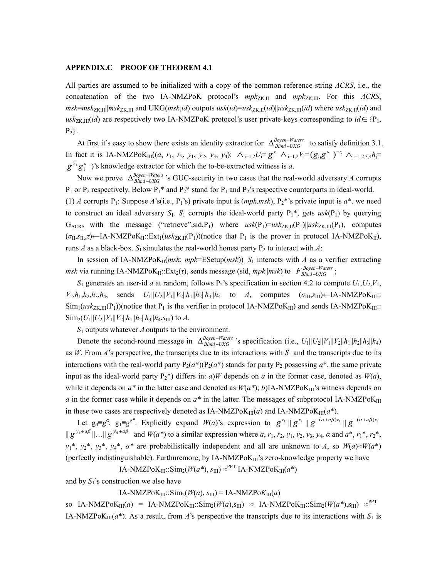### **APPENDIX.C PROOF OF THEOREM 4.1**

All parties are assumed to be initialized with a copy of the common reference string *ACRS*, i.e., the concatenation of the two IA-NMZPoK protocol's  $mpk_{ZK,\text{II}}$  and  $mpk_{ZK,\text{III}}$ . For this *ACRS*,  $msk=msk_{ZK,\text{II}}||msk_{ZK,\text{III}}$  and UKG( $msk$ ,*id*) outputs  $usk(id)=usk_{ZK,\text{II}}(id)||usk_{ZK,\text{III}}(id)$  where  $usk_{ZK,\text{II}}(id)$  and  $u$ sk<sub>ZK,III</sub>(*id*) are respectively two IA-NMZPoK protocol's user private-keys corresponding to *id* ∈ {P<sub>1</sub>,  $P_2$ .

At first it's easy to show there exists an identity extractor for  $\Delta_{Blind-UKG}^{Boyen-Waters}$  to satisfy definition 3.1. In fact it is IA-NMZPoK<sub>III</sub>((*a*, *r*<sub>1</sub>, *r*<sub>2</sub>, *y*<sub>1</sub>, *y*<sub>2</sub>, *y*<sub>3</sub>, *y*<sub>4</sub>):  $\wedge_{i=1,2}U_i=g^{r_i} \wedge_{i=1,2}V_i=(g_0g_1^{a})^{-r_i} \wedge_{j=1,2,3,4}h_j=$ ∆Boyen–Wate<br>∆Blind –UKG  $g^{y_j}g_1^a$  )'s knowledge extractor for which the to-be-extracted witness is *a*.

Now we prove  $\Delta_{\text{Rind-UKG}}^{\text{Boyen-Waters}}$  's GUC-security in two cases that the real-world adversary A corrupts  $P_1$  or  $P_2$  respectively. Below  $P_1^*$  and  $P_2^*$  stand for  $P_1$  and  $P_2$ 's respective counterparts in ideal-world. ∆Boyen–Wate<br>∆Blind –UKG (1) *A* corrupts P<sub>1</sub>: Suppose *A*'s(i.e., P<sub>1</sub>'s) private input is  $(mpk,msk)$ , P<sub>2</sub>\*'s private input is  $a^*$ , we need to construct an ideal adversary  $S_1$ .  $S_1$  corrupts the ideal-world party  $P_1^*$ , gets  $usk(P_1)$  by querying G<sub>ACRS</sub> with the message ("retrieve",sid,P<sub>1</sub>) where  $usk(P_1)=usk_{ZK,\text{II}}(P_1)||usk_{ZK,\text{III}}(P_1)$ , computes  $(\sigma_{II}, s_{II}, \tau)$ ←IA-NMZPoK<sub>II</sub>::Ext<sub>1</sub>(*usk*<sub>ZK,II</sub>(P<sub>1</sub>))(notice that P<sub>1</sub> is the prover in protocol IA-NMZPoK<sub>II</sub>), runs *A* as a black-box.  $S_1$  simulates the real-world honest party  $P_2$  to interact with *A*:

In session of IA-NMZPoK<sub>II</sub>(*msk: mpk*=ESetup(*msk*)),  $S_1$  interacts with *A* as a verifier extracting  $msk$  via running IA-NMZPoK<sub>II</sub>::Ext<sub>2</sub>( $\tau$ ), sends message (sid,  $mpk$ ||*msk*) to  $F_{Blind-UKG}^{Boyen-Waters}$ ; −

 $S_1$  generates an user-id *a* at random, follows  $P_2$ 's specification in section 4.2 to compute  $U_1, U_2, V_1$ ,  $V_2, h_1, h_2, h_3, h_4$ , sends  $U_1||U_2||V_1||V_2||h_1||h_2||h_3||h_4$  to *A*, computes ( $\sigma_{\text{III}}, s_{\text{III}}$ )←IA-NMZPoK<sub>III</sub>::  $\text{Sim}_1(usk_{ZK,III}(P_1))$ (notice that P<sub>1</sub> is the verifier in protocol IA-NMZPoK<sub>III</sub>) and sends IA-NMZPoK<sub>III</sub>::  $\lim_{2} (U_1 || U_2 || V_1 || V_2 || h_1 || h_2 || h_3 || h_4$ ,  $s_{III}$ ) to *A*.

*S*1 outputs whatever *A* outputs to the environment.

Denote the second-round message in  $\Delta_{Blind-UKG}^{Boyen-Waters}$  's specification (i.e.,  $U_1||U_2||V_1||V_2||h_1||h_2||h_3||h_4$ ) as *W*. From *A*'s perspective, the transcripts due to its interactions with  $S_1$  and the transcripts due to its interactions with the real-world party  $P_2(a^*) (P_2(a^*)$  stands for party  $P_2$  possessing  $a^*$ , the same private input as the ideal-world party  $P_2^*$ ) differs in: *a*)*W* depends on *a* in the former case, denoted as  $W(a)$ , while it depends on  $a^*$  in the latter case and denoted as  $W(a^*)$ ; *b*)IA-NMZPoK<sub>III</sub>'s witness depends on *a* in the former case while it depends on  $a^*$  in the latter. The messages of subprotocol IA-NMZPoK<sub>III</sub> in these two cases are respectively denoted as IA-NMZPo $K_{III}(a)$  and IA-NMZPo $K_{III}(a^*)$ . ∆<sup>Boyen–Wate<br>∆Blind –UKG</sup>

Let  $g_0 \equiv g^{\alpha}$ ,  $g_1 \equiv g^{\alpha^*}$ . Explicitly expand  $W(a)$ 's expression to  $g^{r_1} || g^{r_2} || g^{-(\alpha + a\beta)r_1} || g^{-(\alpha + a\beta)r_2}$  $\|g^{\nu_1+a\beta}\|...\|g^{\nu_4+a\beta}$  and  $W(a^*)$  to a similar expression where a,  $r_1, r_2, \nu_1, \nu_2, \nu_3, \nu_4, \alpha$  and  $a^*, r_1^*, r_2^*,$  $y_1^*$ ,  $y_2^*$ ,  $y_3^*$ ,  $y_4^*$ ,  $\alpha^*$  are probabilistically independent and all are unknown to *A*, so *W*(*a*)≈*W*(*a*\*) (perfectly indistinguishable). Furthuremore, by  $IA\text{-}NMZPoK_{III}$ 's zero-knowledge property we have

IA-NMZPoK<sub>III</sub>::Sim<sub>2</sub>( $W(a^*)$ ,  $s_{\text{III}}$ )  $\approx$ <sup>PPT</sup> IA-NMZPoK<sub>III</sub>( $a^*$ )

and by  $S_1$ 's construction we also have

 $IA-NMZPoK_{III}::Sim_2(W(a), s_{III}) = IA-NMZPoK_{III}(a)$ 

so IA-NMZPoK<sub>III</sub>(*a*) = IA-NMZPoK<sub>III</sub>::Sim<sub>2</sub>(*W*(*a*),s<sub>III</sub>) ≈ IA-NMZPoK<sub>III</sub>::Sim<sub>2</sub>(*W*(*a\**),s<sub>III</sub>) ≈<sup>PPT</sup> IA-NMZPoK $_{III}(a^*)$ . As a result, from *A*'s perspective the transcripts due to its interactions with  $S_1$  is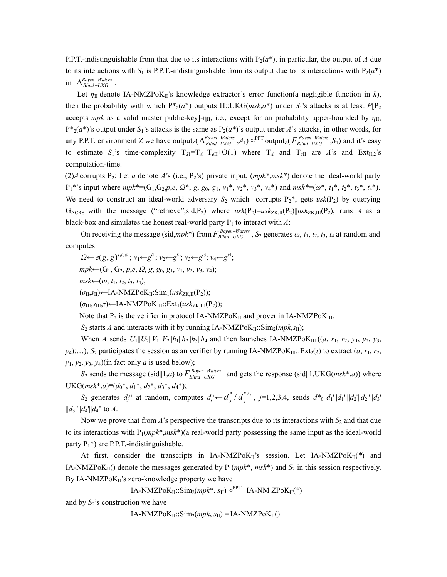P.P.T.-indistinguishable from that due to its interactions with  $P_2(a^*)$ , in particular, the output of *A* due to its interactions with  $S_1$  is P.P.T.-indistinguishable from its output due to its interactions with  $P_2(a^*)$  $\ln \Delta_{Blind-UKG}^{Boyen-Waters}$ .

Let  $\eta_{\text{II}}$  denote IA-NMZPoK<sub>II</sub>'s knowledge extractor's error function(a negligible function in *k*), then the probability with which  $P^*(a^*)$  outputs  $\Pi$ ::UKG(*msk,a*<sup>\*</sup>) under  $S_1$ 's attacks is at least  $P[P_2]$ accepts *mpk* as a valid master public-key]-η<sub>II</sub>, i.e., except for an probability upper-bounded by  $η$ <sub>II</sub>,  $P^*_{2}(a^*)$ 's output under  $S_1$ 's attacks is the same as  $P_2(a^*)$ 's output under *A*'s attacks, in other words, for any P.P.T. environment *Z* we have output<sub>Z</sub>( $\Delta_{Blind-UKG}^{Boyen-Waters}$ ,  $A_1$ )  $\approx$ <sup>PPT</sup> output<sub>Z</sub>( $F_{Blind-UKG}^{Boyen-Waters}$ ,  $S_1$ ) and it's easy to estimate  $S_1$ 's time-complexity  $T_{SI} = T_A + T_{ell} + O(1)$  where  $T_A$  and  $T_{ell}$  are *A*'s and Ext<sub>II,2</sub>'s computation-time. −

(2)*A* corrupts  $P_2$ : Let *a* denote *A*'s (i.e.,  $P_2$ 's) private input,  $(mpk^*, msk^*)$  denote the ideal-world party  $P_1^*$ 's input where  $mpk^*=(G_1, G_2, p, e, \Omega^*, g, g_0, g_1, v_1^*, v_2^*, v_3^*, v_4^*)$  and  $msk^*=(\omega^*, t_1^*, t_2^*, t_3^*, t_4^*)$ . We need to construct an ideal-world adversary  $S_2$  which corrupts  $P_2^*$ , gets  $usk(P_2)$  by querying  $G_{ACRS}$  with the message ("retrieve",sid,P<sub>2</sub>) where  $usk(P_2)=usk_{ZK} \Pi(P_2)$ ||*usk<sub>ZK</sub>*,  $\Pi(P_2)$ , runs *A* as a black-box and simulates the honest real-world party  $P_1$  to interact with A:

On receiving the message (sid,*mpk*<sup>\*</sup>) from  $F_{Blind-UKG}^{Boyen-Waters}$ ,  $S_2$  generates  $\omega$ ,  $t_1$ ,  $t_2$ ,  $t_3$ ,  $t_4$  at random and computes −

*Ω*←  $e(g, g)$ <sup>*t*<sub>12</sub>ω</sup>; *v*<sub>1</sub>← $g$ <sup>*t*1</sup>; *v*<sub>2</sub>← $g$ <sup>*t*2</sup>; *v*<sub>3</sub>← $g$ <sup>*t*3</sup>; *v*<sub>4</sub>← $g$ <sup>*t*4</sup>;  $mpk\leftarrow(G_1, G_2, p, e, \Omega, g, g_0, g_1, v_1, v_2, v_3, v_4);$ 

 $msk\leftarrow(\omega, t_1, t_2, t_3, t_4);$ 

(*σ*II,*s*II)←IA-NMZPoKII:Sim1(*usk*ZK,II(P2));

(*σ*III,*s*III,*τ*)←IA-NMZPoKIII::Ext1(*usk*ZK,III(P2));

Note that  $P_2$  is the verifier in protocol IA-NMZPoK<sub>II</sub> and prover in IA-NMZPoK<sub>III</sub>.

 $S_2$  starts *A* and interacts with it by running IA-NMZPo $K_{II}$ : Sim<sub>2</sub>(*mpk*,*s*<sub>II</sub>);

When *A* sends  $U_1||U_2||V_1||V_2||h_1||h_2||h_3||h_4$  and then launches IA-NMZPoK<sub>III</sub> ((*a*, *r*<sub>1</sub>, *r*<sub>2</sub>, *y*<sub>1</sub>, *y*<sub>2</sub>, *y*<sub>3</sub>, *y*<sub>4</sub>):…), *S*<sub>2</sub> participates the session as an verifier by running IA-NMZPoK<sub>III</sub>::Ext<sub>2</sub>(*τ*) to extract (*a*, *r*<sub>1</sub>, *r*<sub>2</sub>,  $y_1, y_2, y_3, y_4$ )(in fact only *a* is used below);

 $S_2$  sends the message (sid||1,*a*) to  $F_{Blind-UKG}^{Boyen-Waters}$  and gets the response (sid||1,UKG(*msk*<sup>\*</sup>,*a*)) where UKG(*msk*<sup>\*</sup>,*a*)≡( $d_0$ <sup>\*</sup>,  $d_1$ <sup>\*</sup>,  $d_2$ <sup>\*</sup>,  $d_3$ <sup>\*</sup>,  $d_4$ <sup>\*</sup>); −

*S*<sub>2</sub> generates  $d_j$ <sup>"</sup> at random, computes  $d_j' \leftarrow d_j^* / d_j^{*y_j}$ ,  $j=1,2,3,4$ , sends  $d^*_{0}||d_1||d_1||d_2||d_2||d_3'$  $||d_3||/||d_4||/||d_4||$  to *A*.

Now we prove that from  $A$ 's perspective the transcripts due to its interactions with  $S_2$  and that due to its interactions with  $P_1(mpk^*,msk^*)$  (a real-world party possessing the same input as the ideal-world party  $P_1^*$ ) are P.P.T.-indistinguishable.

At first, consider the transcripts in IA-NMZPo $K_{II}$ 's session. Let IA-NMZPo $K_{II}$ <sup>\*</sup>) and IA-NMZPo $K_{II}$ () denote the messages generated by  $P_1(mpk^*, msk^*)$  and  $S_2$  in this session respectively. By IA-NMZPo $K_{II}$ 's zero-knowledge property we have

IA-NMZPoK<sub>II</sub>::Sim<sub>2</sub>(*mpk*<sup>\*</sup>, *s*<sub>II</sub>) ≈<sup>PPT</sup> IA-NM ZPoK<sub>II</sub>(<sup>\*</sup>)

and by  $S_2$ 's construction we have

 $IA-NMZPoK_{II}::Sim_2(mpk, s_{II}) = IA-NMZPoK_{II}()$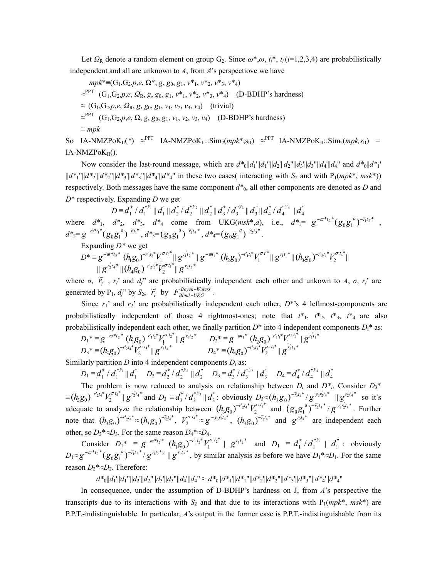Let  $\Omega_R$  denote a random element on group G<sub>2</sub>. Since  $\omega^*, \omega, t_i^*, t_i (i=1,2,3,4)$  are probabilistically independent and all are unknown to *A*, from *A*'s perspectiove we have

$$
mpk^* \equiv (G_1, G_2, p, e, \Omega^*, g, g_0, g_1, v^*, v^*, v^*, v^*, v^*)
$$
  
\n
$$
\approx^{PPT} (G_1, G_2, p, e, \Omega_R, g, g_0, g_1, v^*, v^*, v^*, v^*, v^*)
$$
 (D-BDHP's hardness)  
\n
$$
\approx (G_1, G_2, p, e, \Omega_R, g, g_0, g_1, v_1, v_2, v_3, v_4)
$$
 (trivial)  
\n
$$
\approx^{PPT} (G_1, G_2, p, e, \Omega, g, g_0, g_1, v_1, v_2, v_3, v_4)
$$
 (D-BDHP's hardness)  
\n
$$
\equiv mpk
$$

So IA-NMZPoK<sub>II</sub>(\*) ≈<sup>PPT</sup> IA-NMZPoK<sub>II</sub>::Sim<sub>2</sub>(mpk\*,s<sub>II</sub>) ≈<sup>PPT</sup> IA-NMZPoK<sub>II</sub>::Sim<sub>2</sub>(mpk,s<sub>II</sub>) =  $IA-NMZPoK<sub>II</sub>().$ 

Now consider the last-round message, which are  $d^*_{0}||d_1||d_1||d_2||d_2||d_3||d_3||d_4||d_4||$  and  $d^*_{0}||d^*_{1}$ ||*d\**1"||*d\**2'||*d\**2"||*d\**3'||*d\**3"||*d\**4'||*d\**4" in these two cases( interacting with *S*2 and with P1(*mpk*\*, *msk*\*)) respectively. Both messages have the same component *d\**0, all other components are denoted as *D* and *D*\* respectively. Expanding *D* we get

 $D \equiv d_1^* / d_1^{''y_1} || d_1^{''} || d_2^{*} / d_2^{''y_2} || d_2^{''} || d_3^{*} / d_3^{''y_3} || d_3^{''} || d_4^{*} / d_4^{''y_4} || d_4^{''}$  $d_1^* / d_1^{\frac{w_{1}}{2}} \| d_1^* \| d_2^* / d_2^{\frac{w_{2}}{2}}$  $d_2^*/d_2^{''y_2}$  ||  $d_2^*\| d_3^*/d_3^{''y_3}$  $d_3^* / d_3^{''y_3}$  ||  $d_3^*$  ||  $d_4^* / d_4^{''y_4}$  $d_4^* / d_4^{v_{\mathcal{Y}_4}} \parallel d_4^{\cdot v_{\mathcal{Y}_4}}$ where  $d^*$ <sub>1</sub>,  $d^*$ <sub>2</sub>,  $d^*$ <sub>3</sub>,  $d^*$ <sub>4</sub> come from UKG(*msk*<sup>\*</sup>,*a*), i.e.,  $d^*$ <sub>1</sub>=  $g^{-\varpi^* t_2}$ <sup>\*</sup>( $g_0 g_1^{a}$ )<sup>- $\tilde{t_1} t_2$ <sup>\*</sup>,</sup>

 $d^*z = g^{-\varpi^*t_1^*}(g_0g_1^{a})^{-\tilde{r}_1t_1^*}, d^*z = (g_0g_1^{a})^{-\tilde{r}_2t_4^*}, d^*z = (g_0g_1^{a})^{-\tilde{r}_2t_3^*}.$ Expanding *D\** we get

$$
D^* \equiv g^{-\overline{\sigma^*t_2}^*} (h_1 g_0)^{-r_1' t_2^*} V_1^{\sigma t_2^*} \| g^{r_1' t_2^*} \| g^{-\overline{\sigma t_1}^*} (h_2 g_0)^{-r_1' t_1^*} V_1^{\sigma t_1^*} \| (h_3 g_0)^{-r_2' t_4^*} V_2^{\sigma t_4^*} \|
$$
  

where  $\sigma$ ,  $\tilde{r}_i$ ,  $r_i$ ' and  $d_j$ '' are probabilistically independent each other and unkown to *A*,  $\sigma$ ,  $r_i$ ' are generated by  $P_1$ , *d<sub>j</sub>*" by  $S_2$ ,  $\tilde{r}_i$  by  $F_{Blind-UKG}^{Boyen-Waters}$ . −

Since  $r_1$ ' and  $r_2$ ' are probabilistically independent each other,  $D^*$ 's 4 leftmost-components are probabilistically independent of those 4 rightmost-ones; note that  $t^*$ <sub>1</sub>,  $t^*$ <sub>2</sub>,  $t^*$ <sub>3</sub>,  $t^*$ <sub>4</sub> are also probabilistically independent each other, we finally partition  $D^*$  into 4 independent components  $D_i^*$  as:

$$
D_1^* = g^{-\varpi^*t_2^*} (h_1 g_0)^{-r_1 t_2^*} V_1^{\sigma t_2^*} || g^{r_1 t_2^*} D_2^* = g^{-\varpi t_1^*} (h_2 g_0)^{-r_1 t_1^*} V_1^{\sigma t_1^*} || g^{r_1 t_1^*}
$$
  
\n
$$
D_3^* = (h_3 g_0)^{-r_2 t_4^*} V_2^{\sigma t_4^*} || g^{r_2 t_4^*}
$$
  
\n
$$
D_4^* = (h_4 g_0)^{-r_2 t_3^*} V_2^{\sigma t_3^*} || g^{r_2 t_3^*}
$$

Similarly partition *D* into 4 independent components  $D_i$  as:

$$
D_1 \equiv d_1^* / d_1^{v y_1} || d_1^v D_2 \equiv d_2^* / d_2^{v y_2} || d_2^v D_3 \equiv d_3^* / d_3^{v y_3} || d_3^v D_4 \equiv d_4^* / d_4^{v y_4} || d_4^v
$$

The problem is now reduced to analysis on relationship between  $D_i$  and  $D^*$ <sup>\*</sup><sub>i</sub>. Consider  $D_3^*$  $\equiv (h_3 g_0)^{-r_2 t_4^*} V_2^{\sigma t_4^*} || g^{r_2 t_4^*}$  and  $D_3 \equiv d_3^* / d_3^{r_3} || d_3^*$ : obviously  $D_3 \approx$  $d_3^* / d_3^{''y_3} || d_3^{''}$ : obviously  $D_3 \approx (h_3 g_0)^{-\tilde{r}_2 t_4^*} / g^{y_3 r_2^* t_4^*} || g^{r_2^* t_4^*}$  so it's adequate to analyze the relationship between  $(h_3 g_0)^{-r_2 t_4 *} V_2^{\sigma t_4 *}$  and  $(h_3 g_0)^{-r_2 t_4*} V_2^{\sigma t_4*}$  and  $(g_0 g_1^{\sigma})^{-\tilde{r}_2 t_4*} / g^{\tilde{y}_3 t_2 t_4*}$ . Further note that  $(h_3g_0)^{-r'_2t_4} \approx (h_3g_0)^{-\tilde{r}_2t_4}$ ,  $V_2^{\sigma t_4} \approx g^{-\nu_3\nu_2t_4}$ ,  $(h_3g_0)^{-\tilde{r}_2t_4}$  and  $g^{\nu_2t_4}$  are independent each other, so  $D_3$ \*≈ $D_3$ . For the same reason  $D_4$ \*≈ $D_4$ .

Consider  $D_1^* \equiv g^{-\varpi^*t_2^*} (h_1 g_0)^{-r_1 t_2^*} V_1^{\sigma t_2^*} \parallel g^{r_1 t_2^*}$  and  $D_1 \equiv d_1^* / d_1^{r_1} \parallel d_1^r$ : obviously  $D_1 \approx g^{-\varpi *_{t_2} *} (g_0 g_1^{\ a})^{-\widetilde{r}_1 {t_2} *}$  $d_1^* / d_1^{\binom{n}{1}} \parallel d_1^{\binom{n}{2}}$  $g^{-\varpi^{*_{t_2}*}}(g_0g_1^{a})^{-\tilde{r}_{t_2}*}/g^{\eta_{t_2}*\tilde{y}_1}||g^{\eta_{t_2}*\tilde{y}_2},$  by similar analysis as before we have  $D_1*\approx D_1$ . For the same reason  $D_2$ <sup>\*</sup>≈ $D_2$ . Therefore:

$$
d^*_{0}||d_{1}|||d_{1}|||d_{2}|||d_{2}|||d_{3}|||d_{3}|||d_{4}|||d_{4}|| \approx d^*_{0}||d^*_{1}|||d^*_{1}|||d^*_{2}|||d^*_{2}|||d^*_{3}|||d^*_{3}|||d^*_{4}|||d^*_{4}|||d^*_{4}||
$$

In consequence, under the assumption of D-BDHP's hardness on J, from *A*'s perspective the transcripts due to its interactions with  $S_2$  and that due to its interactions with  $P_1(mpk^*, msk^*)$  are P.P.T.-indistinguishable. In particular, *A*'s output in the former case is P.P.T.-indistinguishable from its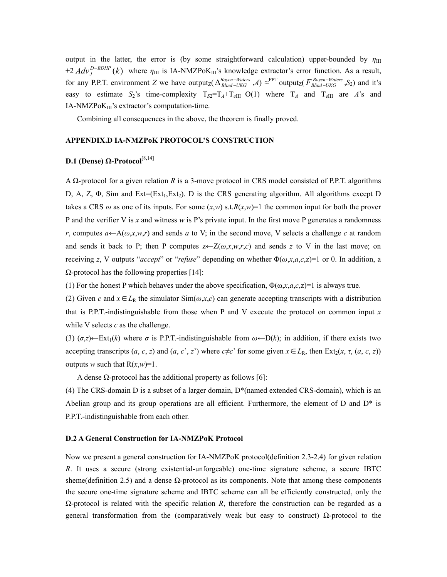output in the latter, the error is (by some straightforward calculation) upper-bounded by  $\eta_{\text{III}}$ +2  $Adv_J^{D-BDHP}(k)$  where  $\eta_{III}$  is IA-NMZPoK<sub>III</sub>'s knowledge extractor's error function. As a result, for any P.P.T. environment *Z* we have output<sub>Z</sub>( $\Delta_{Blind-UKG}^{Boyen-Waters}$ , *A*)  $\approx$ −  $\Delta_{Blind-UKG}^{Boyen-Waters}$  ,*A*)  $\approx$ <sup>PPT</sup> output<sub>Z</sub>(  $F_{Blind-UKG}^{Boyen-Waters}$  ,*S*<sub>2</sub>) and it's easy to estimate *S*<sub>2</sub>'s time-complexity  $T_{S2} = T_A + T_{eIII} + O(1)$  where  $T_A$  and  $T_{eIII}$  are *A*'s and IA-NMZPoK<sub>III</sub>'s extractor's computation-time. −

Combining all consequences in the above, the theorem is finally proved.

## **APPENDIX.D IA-NMZPoK PROTOCOL'S CONSTRUCTION**

### **D.1 (Dense) Ω-Protocol**[8,14]

A Ω-protocol for a given relation *R* is a 3-move protocol in CRS model consisted of P.P.T. algorithms D, A, Z,  $\Phi$ , Sim and Ext=(Ext<sub>1</sub>, Ext<sub>2</sub>). D is the CRS generating algorithm. All algorithms except D takes a CRS  $\omega$  as one of its inputs. For some  $(x, w)$  s.t. $R(x, w)$ =1 the common input for both the prover P and the verifier V is *x* and witness *w* is P's private input. In the first move P generates a randomness *r*, computes  $a \leftarrow A(\omega, x, w, r)$  and sends *a* to V; in the second move, V selects a challenge *c* at random and sends it back to P; then P computes  $z \leftarrow Z(\omega, x, w, r, c)$  and sends z to V in the last move; on receiving *z*, V outputs "*accept*" or "*refuse*" depending on whether  $\Phi(\omega, x, a, c, z) = 1$  or 0. In addition, a  $Ω$ -protocol has the following properties [14]:

(1) For the honest P which behaves under the above specification,  $\Phi(\omega, x, a, c, z)$ =1 is always true.

(2) Given *c* and  $x \in L_R$  the simulator Sim( $\omega$ ,*x*,*c*) can generate accepting transcripts with a distribution that is P.P.T.-indistinguishable from those when P and V execute the protocol on common input *x* while V selects *c* as the challenge.

(3)  $(σ,τ)$ ←Ext<sub>1</sub>(*k*) where *σ* is P.P.T.-indistinguishable from  $ω$ ←D(*k*); in addition, if there exists two accepting transcripts  $(a, c, z)$  and  $(a, c', z')$  where  $c \neq c'$  for some given  $x \in L_R$ , then  $\text{Ext}_2(x, \tau, (a, c, z))$ outputs *w* such that  $R(x, w)=1$ .

A dense  $\Omega$ -protocol has the additional property as follows [6]:

(4) The CRS-domain D is a subset of a larger domain,  $D^*$  (named extended CRS-domain), which is an Abelian group and its group operations are all efficient. Furthermore, the element of D and D\* is P.P.T.-indistinguishable from each other.

#### **D.2 A General Construction for IA-NMZPoK Protocol**

Now we present a general construction for IA-NMZPoK protocol(definition 2.3-2.4) for given relation *R*. It uses a secure (strong existential-unforgeable) one-time signature scheme, a secure IBTC sheme(definition 2.5) and a dense  $\Omega$ -protocol as its components. Note that among these components the secure one-time signature scheme and IBTC scheme can all be efficiently constructed, only the  $Ω$ -protocol is related with the specific relation *R*, therefore the construction can be regarded as a general transformation from the (comparatively weak but easy to construct)  $Ω$ -protocol to the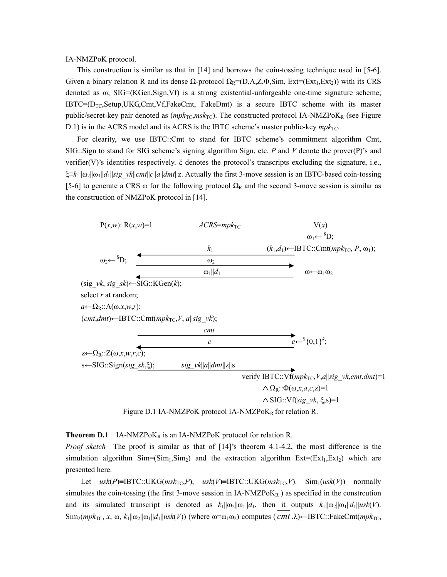IA-NMZPoK protocol.

This construction is similar as that in [14] and borrows the coin-tossing technique used in [5-6]. Given a binary relation R and its dense  $\Omega$ -protocol  $\Omega_R=(D,A,Z,\Phi,\text{Sim}, \text{Ext}=(\text{Ext}_1,\text{Ext}_2))$  with its CRS denoted as ω; SIG=(KGen,Sign,Vf) is a strong existential-unforgeable one-time signature scheme;  $IBTC = (D_{TC}, Setup, UKG, Cmt, Vf, FakeCmt, FakeDmt)$  is a secure IBTC scheme with its master public/secret-key pair denoted as ( $mpk_{TC}$ , $msk_{TC}$ ). The constructed protocol IA-NMZPoK<sub>R</sub> (see Figure D.1) is in the ACRS model and its ACRS is the IBTC scheme's master public-key  $mpk_{TC}$ .

For clearity, we use IBTC::Cmt to stand for IBTC scheme's commitment algorithm Cmt, SIG::Sign to stand for SIG scheme's signing algorithm Sign, etc. *P* and *V* denote the prover(P)'s and verifier(V)'s identities respectively. ξ denotes the protocol's transcripts excluding the signature, i.e., ξ≡*k*1||ω2||ω1||*d*1||*sig\_vk*||*cmt*||*c*||*a*||*dmt*||z. Actually the first 3-move session is an IBTC-based coin-tossing [5-6] to generate a CRS ω for the following protocol  $\Omega_R$  and the second 3-move session is similar as the construction of NMZPoK protocol in [14].



**Theorem D.1** IA-NMZPo $K_R$  is an IA-NMZPoK protocol for relation R.

*Proof sketch* The proof is similar as that of [14]'s theorem 4.1-4.2, the most difference is the simulation algorithm  $Sim=(Sim_1, Sim_2)$  and the extraction algorithm  $Ext=(Ext_1, Ext_2)$  which are presented here.

Let  $u$ sk(P)≡IBTC::UKG( $msk_{TC},P$ ),  $u$ sk( $V$ )≡IBTC::UKG( $msk_{TC},V$ ). Sim<sub>1</sub>( $u$ sk( $V$ )) normally simulates the coin-tossing (the first 3-move session in IA-NMZPo $K_R$ ) as specified in the constrcution and its simulated transcript is denoted as  $k_1||\omega_2||\omega_1||d_1$ , then it outputs  $k_1||\omega_2||\omega_1||d_1||usk(V)$ .  $\text{Sim}_2(mpk_{\text{TC}}, x, \omega, k_1||\omega_2||\omega_1||d_1||usk(V))$  (where  $\omega = \omega_1\omega_2$ ) computes (*cmt* ,λ) $\leftarrow \text{IBTC::FakeCmt}(mpk_{\text{TC}},$